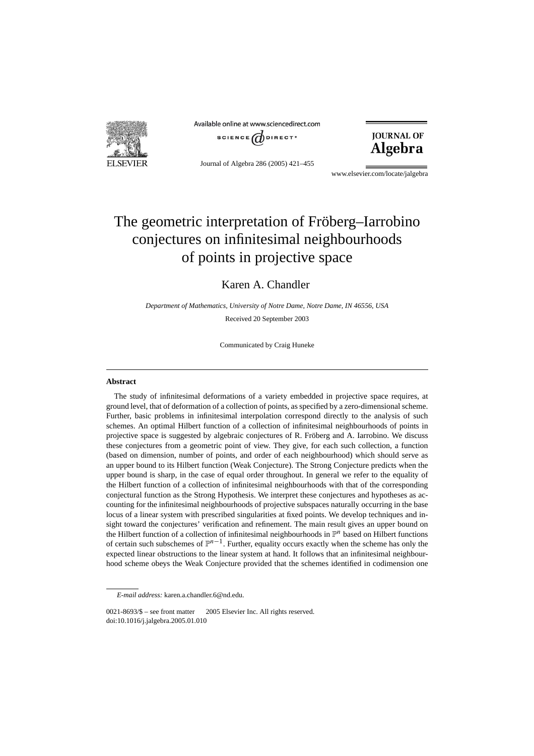

Available online at www.sciencedirect.com



Journal of Algebra 286 (2005) 421–455

**JOURNAL OF** Algebra

www.elsevier.com/locate/jalgebra

# The geometric interpretation of Fröberg–Iarrobino conjectures on infinitesimal neighbourhoods of points in projective space

# Karen A. Chandler

*Department of Mathematics, University of Notre Dame, Notre Dame, IN 46556, USA*

Received 20 September 2003

Communicated by Craig Huneke

### **Abstract**

The study of infinitesimal deformations of a variety embedded in projective space requires, at ground level, that of deformation of a collection of points, as specified by a zero-dimensional scheme. Further, basic problems in infinitesimal interpolation correspond directly to the analysis of such schemes. An optimal Hilbert function of a collection of infinitesimal neighbourhoods of points in projective space is suggested by algebraic conjectures of R. Fröberg and A. Iarrobino. We discuss these conjectures from a geometric point of view. They give, for each such collection, a function (based on dimension, number of points, and order of each neighbourhood) which should serve as an upper bound to its Hilbert function (Weak Conjecture). The Strong Conjecture predicts when the upper bound is sharp, in the case of equal order throughout. In general we refer to the equality of the Hilbert function of a collection of infinitesimal neighbourhoods with that of the corresponding conjectural function as the Strong Hypothesis. We interpret these conjectures and hypotheses as accounting for the infinitesimal neighbourhoods of projective subspaces naturally occurring in the base locus of a linear system with prescribed singularities at fixed points. We develop techniques and insight toward the conjectures' verification and refinement. The main result gives an upper bound on the Hilbert function of a collection of infinitesimal neighbourhoods in  $\mathbb{P}^n$  based on Hilbert functions of certain such subschemes of P*n*<sup>−</sup>1. Further, equality occurs exactly when the scheme has only the expected linear obstructions to the linear system at hand. It follows that an infinitesimal neighbourhood scheme obeys the Weak Conjecture provided that the schemes identified in codimension one

*E-mail address:* karen.a.chandler.6@nd.edu.

 $0021-8693/\$$  – see front matter  $\degree$  2005 Elsevier Inc. All rights reserved. doi:10.1016/j.jalgebra.2005.01.010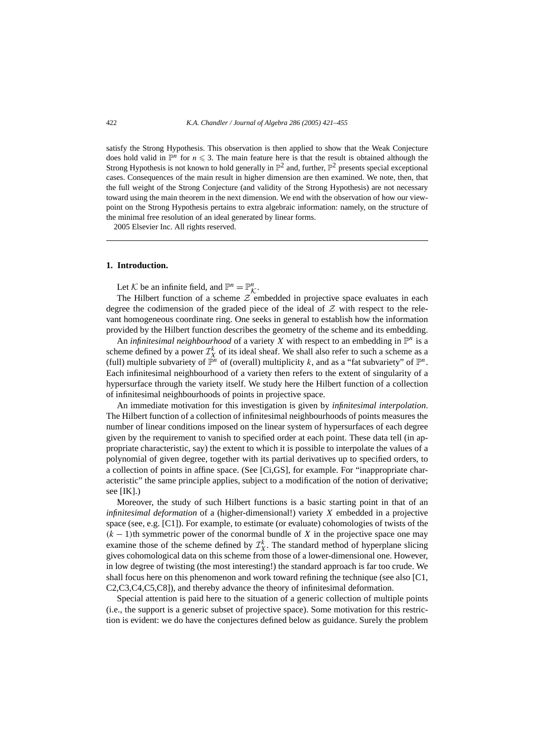satisfy the Strong Hypothesis. This observation is then applied to show that the Weak Conjecture does hold valid in  $\mathbb{P}^n$  for  $n \leq 3$ . The main feature here is that the result is obtained although the Strong Hypothesis is not known to hold generally in  $\mathbb{P}^2$  and, further,  $\mathbb{P}^2$  presents special exceptional cases. Consequences of the main result in higher dimension are then examined. We note, then, that the full weight of the Strong Conjecture (and validity of the Strong Hypothesis) are not necessary toward using the main theorem in the next dimension. We end with the observation of how our viewpoint on the Strong Hypothesis pertains to extra algebraic information: namely, on the structure of the minimal free resolution of an ideal generated by linear forms.

2005 Elsevier Inc. All rights reserved.

#### **1. Introduction.**

Let K be an infinite field, and  $\mathbb{P}^n = \mathbb{P}^n_{\mathcal{K}}$ .<br>The Hilbert function of a sekome  $Z$  as

The Hilbert function of a scheme  $\mathcal{Z}$  embedded in projective space evaluates in each degree the codimension of the graded piece of the ideal of  $Z$  with respect to the relevant homogeneous coordinate ring. One seeks in general to establish how the information provided by the Hilbert function describes the geometry of the scheme and its embedding.

An *infinitesimal neighbourhood* of a variety *X* with respect to an embedding in  $\mathbb{P}^n$  is a scheme defined by a power  $\mathcal{I}_X^k$  of its ideal sheaf. We shall also refer to such a scheme as a (full) multiple subvariety of  $\mathbb{P}^n$  of (overall) multiplicity *k*, and as a "fat subvariety" of  $\mathbb{P}^n$ . Each infinitesimal neighbourhood of a variety then refers to the extent of singularity of a hypersurface through the variety itself. We study here the Hilbert function of a collection of infinitesimal neighbourhoods of points in projective space.

An immediate motivation for this investigation is given by *infinitesimal interpolation*. The Hilbert function of a collection of infinitesimal neighbourhoods of points measures the number of linear conditions imposed on the linear system of hypersurfaces of each degree given by the requirement to vanish to specified order at each point. These data tell (in appropriate characteristic, say) the extent to which it is possible to interpolate the values of a polynomial of given degree, together with its partial derivatives up to specified orders, to a collection of points in affine space. (See [Ci,GS], for example. For "inappropriate characteristic" the same principle applies, subject to a modification of the notion of derivative; see  $[IK]$ .)

Moreover, the study of such Hilbert functions is a basic starting point in that of an *infinitesimal deformation* of a (higher-dimensional!) variety *X* embedded in a projective space (see, e.g. [C1]). For example, to estimate (or evaluate) cohomologies of twists of the  $(k-1)$ th symmetric power of the conormal bundle of *X* in the projective space one may examine those of the scheme defined by  $\mathcal{I}_X^k$ . The standard method of hyperplane slicing gives cohomological data on this scheme from those of a lower-dimensional one. However, in low degree of twisting (the most interesting!) the standard approach is far too crude. We shall focus here on this phenomenon and work toward refining the technique (see also [C1, C2,C3,C4,C5,C8]), and thereby advance the theory of infinitesimal deformation.

Special attention is paid here to the situation of a generic collection of multiple points (i.e., the support is a generic subset of projective space). Some motivation for this restriction is evident: we do have the conjectures defined below as guidance. Surely the problem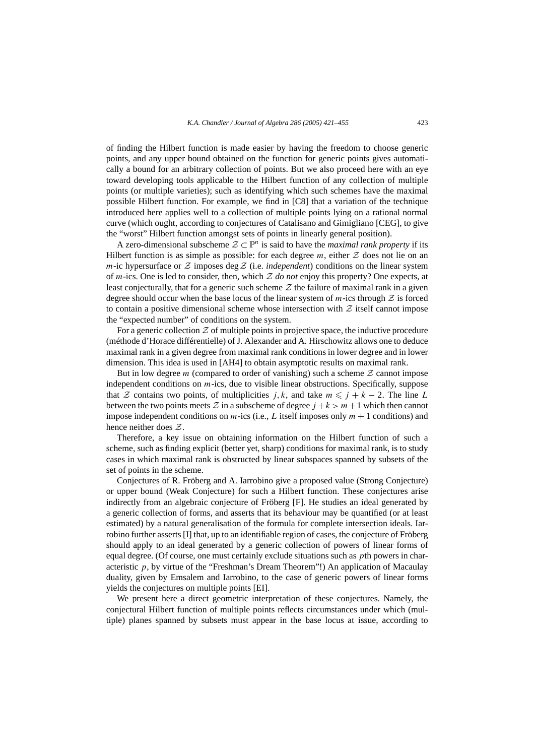of finding the Hilbert function is made easier by having the freedom to choose generic points, and any upper bound obtained on the function for generic points gives automatically a bound for an arbitrary collection of points. But we also proceed here with an eye toward developing tools applicable to the Hilbert function of any collection of multiple points (or multiple varieties); such as identifying which such schemes have the maximal possible Hilbert function. For example, we find in [C8] that a variation of the technique introduced here applies well to a collection of multiple points lying on a rational normal curve (which ought, according to conjectures of Catalisano and Gimigliano [CEG], to give the "worst" Hilbert function amongst sets of points in linearly general position).

A zero-dimensional subscheme  $\mathcal{Z} \subset \mathbb{P}^n$  is said to have the *maximal rank property* if its Hilbert function is as simple as possible: for each degree  $m$ , either  $Z$  does not lie on an *m*-ic hypersurface or  $Z$  imposes deg  $Z$  (i.e. *independent*) conditions on the linear system of *m*-ics. One is led to consider, then, which Z *do not* enjoy this property? One expects, at least conjecturally, that for a generic such scheme  $Z$  the failure of maximal rank in a given degree should occur when the base locus of the linear system of  $m$ -ics through  $Z$  is forced to contain a positive dimensional scheme whose intersection with  $Z$  itself cannot impose the "expected number" of conditions on the system.

For a generic collection  $Z$  of multiple points in projective space, the inductive procedure (méthode d'Horace différentielle) of J. Alexander and A. Hirschowitz allows one to deduce maximal rank in a given degree from maximal rank conditions in lower degree and in lower dimension. This idea is used in [AH4] to obtain asymptotic results on maximal rank.

But in low degree *m* (compared to order of vanishing) such a scheme  $Z$  cannot impose independent conditions on *m*-ics, due to visible linear obstructions. Specifically, suppose that Z contains two points, of multiplicities *j*, *k*, and take  $m \leq j + k - 2$ . The line *L* between the two points meets  $\mathcal Z$  in a subscheme of degree  $j + k > m + 1$  which then cannot impose independent conditions on *m*-ics (i.e., *L* itself imposes only *m* + 1 conditions) and hence neither does Z.

Therefore, a key issue on obtaining information on the Hilbert function of such a scheme, such as finding explicit (better yet, sharp) conditions for maximal rank, is to study cases in which maximal rank is obstructed by linear subspaces spanned by subsets of the set of points in the scheme.

Conjectures of R. Fröberg and A. Iarrobino give a proposed value (Strong Conjecture) or upper bound (Weak Conjecture) for such a Hilbert function. These conjectures arise indirectly from an algebraic conjecture of Fröberg [F]. He studies an ideal generated by a generic collection of forms, and asserts that its behaviour may be quantified (or at least estimated) by a natural generalisation of the formula for complete intersection ideals. Iarrobino further asserts [I] that, up to an identifiable region of cases, the conjecture of Fröberg should apply to an ideal generated by a generic collection of powers of linear forms of equal degree. (Of course, one must certainly exclude situations such as *p*th powers in characteristic  $p$ , by virtue of the "Freshman's Dream Theorem"!) An application of Macaulay duality, given by Emsalem and Iarrobino, to the case of generic powers of linear forms yields the conjectures on multiple points [EI].

We present here a direct geometric interpretation of these conjectures. Namely, the conjectural Hilbert function of multiple points reflects circumstances under which (multiple) planes spanned by subsets must appear in the base locus at issue, according to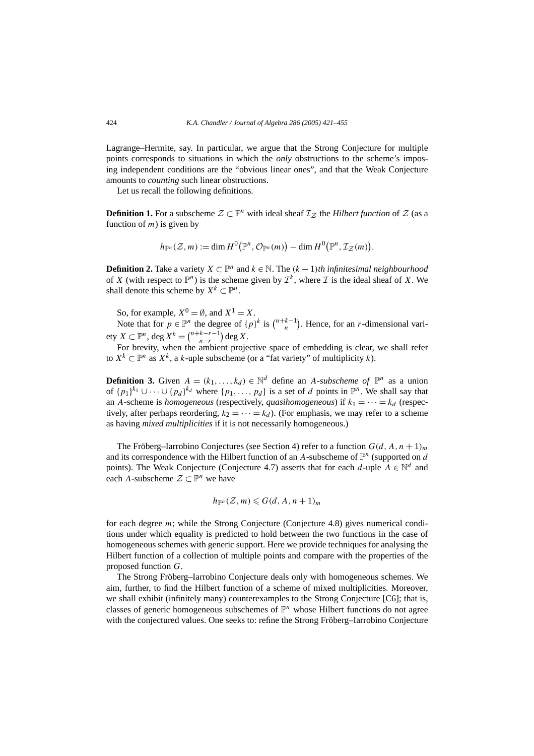Lagrange–Hermite, say. In particular, we argue that the Strong Conjecture for multiple points corresponds to situations in which the *only* obstructions to the scheme's imposing independent conditions are the "obvious linear ones", and that the Weak Conjecture amounts to *counting* such linear obstructions.

Let us recall the following definitions.

**Definition 1.** For a subscheme  $\mathcal{Z} \subset \mathbb{P}^n$  with ideal sheaf  $\mathcal{I}_{\mathcal{Z}}$  the *Hilbert function* of  $\mathcal{Z}$  (as a function of *m*) is given by

$$
h_{{\mathbb P}^n}({\mathcal Z},m):=\dim H^0\big({\mathbb P}^n,{\mathcal O}_{{\mathbb P}^n}(m)\big)-\dim H^0\big({\mathbb P}^n,{\mathcal I}_{{\mathcal Z}}(m)\big).
$$

**Definition 2.** Take a variety *X* ⊂  $\mathbb{P}^n$  and *k* ∈ N. The  $(k-1)$ *th infinitesimal neighbourhood* of *X* (with respect to  $\mathbb{P}^n$ ) is the scheme given by  $\mathcal{I}^k$ , where *I* is the ideal sheaf of *X*. We shall denote this scheme by  $X^k \subset \mathbb{P}^n$ .

So, for example,  $X^0 = \emptyset$ , and  $X^1 = X$ .

Note that for  $p \in \mathbb{P}^n$  the degree of  $\{p\}^k$  is  $\binom{n+k-1}{n}$ . Hence, for an *r*-dimensional vari- $\text{ety } X \subset \mathbb{P}^n$ ,  $\text{deg } X^k = \binom{n+k-r-1}{n-r} \text{deg } X$ .

For brevity, when the ambient projective space of embedding is clear, we shall refer to  $X^k$  ⊂  $\mathbb{P}^n$  as  $X^k$ , a *k*-uple subscheme (or a "fat variety" of multiplicity *k*).

**Definition 3.** Given  $A = (k_1, ..., k_d) \in \mathbb{N}^d$  define an *A*-*subscheme of*  $\mathbb{P}^n$  as a union of  $\{p_1\}^{k_1} \cup \cdots \cup \{p_d\}^{k_d}$  where  $\{p_1, \ldots, p_d\}$  is a set of *d* points in  $\mathbb{P}^n$ . We shall say that an *A*-scheme is *homogeneous* (respectively, *quasihomogeneous*) if  $k_1 = \cdots = k_d$  (respectively, after perhaps reordering,  $k_2 = \cdots = k_d$ ). (For emphasis, we may refer to a scheme as having *mixed multiplicities* if it is not necessarily homogeneous.)

The Fröberg–Iarrobino Conjectures (see Section 4) refer to a function  $G(d, A, n + 1)<sub>m</sub>$ and its correspondence with the Hilbert function of an  $A$ -subscheme of  $\mathbb{P}^n$  (supported on *d* points). The Weak Conjecture (Conjecture 4.7) asserts that for each *d*-uple  $A \in \mathbb{N}^d$  and each *A*-subscheme  $\mathcal{Z} \subset \mathbb{P}^n$  we have

$$
h_{\mathbb{P}^n}(\mathcal{Z},m)\leqslant G(d,A,n+1)_m
$$

for each degree *m*; while the Strong Conjecture (Conjecture 4.8) gives numerical conditions under which equality is predicted to hold between the two functions in the case of homogeneous schemes with generic support. Here we provide techniques for analysing the Hilbert function of a collection of multiple points and compare with the properties of the proposed function *G*.

The Strong Fröberg–Iarrobino Conjecture deals only with homogeneous schemes. We aim, further, to find the Hilbert function of a scheme of mixed multiplicities. Moreover, we shall exhibit (infinitely many) counterexamples to the Strong Conjecture [C6]; that is, classes of generic homogeneous subschemes of  $\mathbb{P}^n$  whose Hilbert functions do not agree with the conjectured values. One seeks to: refine the Strong Fröberg–Iarrobino Conjecture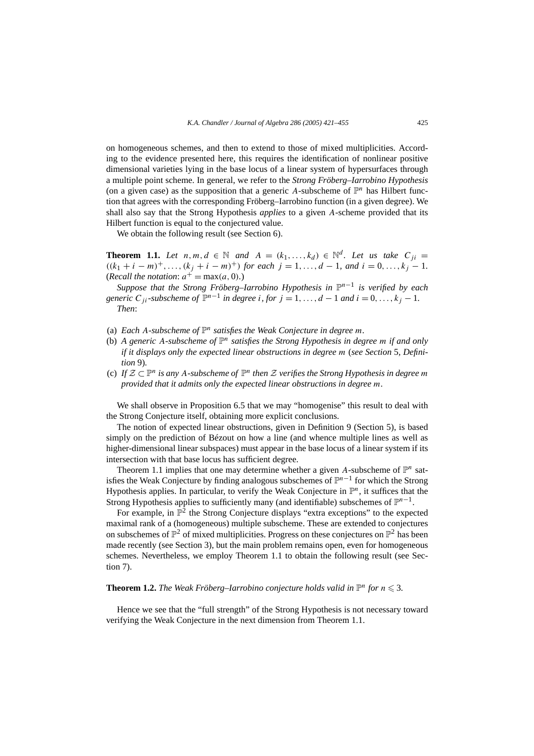on homogeneous schemes, and then to extend to those of mixed multiplicities. According to the evidence presented here, this requires the identification of nonlinear positive dimensional varieties lying in the base locus of a linear system of hypersurfaces through a multiple point scheme. In general, we refer to the *Strong Fröberg–Iarrobino Hypothesis* (on a given case) as the supposition that a generic A-subscheme of  $\mathbb{P}^n$  has Hilbert function that agrees with the corresponding Fröberg–Iarrobino function (in a given degree). We shall also say that the Strong Hypothesis *applies* to a given *A*-scheme provided that its Hilbert function is equal to the conjectured value.

We obtain the following result (see Section 6).

**Theorem 1.1.** Let  $n, m, d \in \mathbb{N}$  and  $A = (k_1, \ldots, k_d) \in \mathbb{N}^d$ . Let us take  $C_{ii}$  $((k_1 + i - m)^+, \ldots, (k_i + i - m)^+)$  *for each*  $j = 1, \ldots, d - 1$ *, and*  $i = 0, \ldots, k_j - 1$ *.* (*Recall the notation*:  $a^+ = \max(a, 0)$ *.*)

*Suppose that the Strong Fröberg–Iarrobino Hypothesis in*  $\mathbb{P}^{n-1}$  *is verified by each generic*  $C_{ii}$ *-subscheme of*  $\mathbb{P}^{n-1}$  *in degree i, for*  $j = 1, ..., d - 1$  *and*  $i = 0, ..., k_j - 1$ . *Then*:

- (a) *Each A*-subscheme of  $\mathbb{P}^n$  *satisfies the Weak Conjecture in degree m.*
- (b) *A generic A-subscheme of*  $\mathbb{P}^n$  *satisfies the Strong Hypothesis in degree m if and only if it displays only the expected linear obstructions in degree m* (*see Section* 5*, Definition* 9)*.*
- (c) If  $\mathcal{Z} \subset \mathbb{P}^n$  *is any A-subscheme of*  $\mathbb{P}^n$  *then*  $\mathcal{Z}$  *verifies the Strong Hypothesis in degree m provided that it admits only the expected linear obstructions in degree m.*

We shall observe in Proposition 6.5 that we may "homogenise" this result to deal with the Strong Conjecture itself, obtaining more explicit conclusions.

The notion of expected linear obstructions, given in Definition 9 (Section 5), is based simply on the prediction of Bézout on how a line (and whence multiple lines as well as higher-dimensional linear subspaces) must appear in the base locus of a linear system if its intersection with that base locus has sufficient degree.

Theorem 1.1 implies that one may determine whether a given A-subscheme of  $\mathbb{P}^n$  satisfies the Weak Conjecture by finding analogous subschemes of P*n*−<sup>1</sup> for which the Strong Hypothesis applies. In particular, to verify the Weak Conjecture in  $\mathbb{P}^n$ , it suffices that the Strong Hypothesis applies to sufficiently many (and identifiable) subschemes of  $\mathbb{P}^{n-1}$ .

For example, in  $\mathbb{P}^2$  the Strong Conjecture displays "extra exceptions" to the expected maximal rank of a (homogeneous) multiple subscheme. These are extended to conjectures on subschemes of  $\mathbb{P}^2$  of mixed multiplicities. Progress on these conjectures on  $\mathbb{P}^2$  has been made recently (see Section 3), but the main problem remains open, even for homogeneous schemes. Nevertheless, we employ Theorem 1.1 to obtain the following result (see Section 7).

# **Theorem 1.2.** The Weak Fröberg–Iarrobino conjecture holds valid in  $\mathbb{P}^n$  for  $n \leq 3$ .

Hence we see that the "full strength" of the Strong Hypothesis is not necessary toward verifying the Weak Conjecture in the next dimension from Theorem 1.1.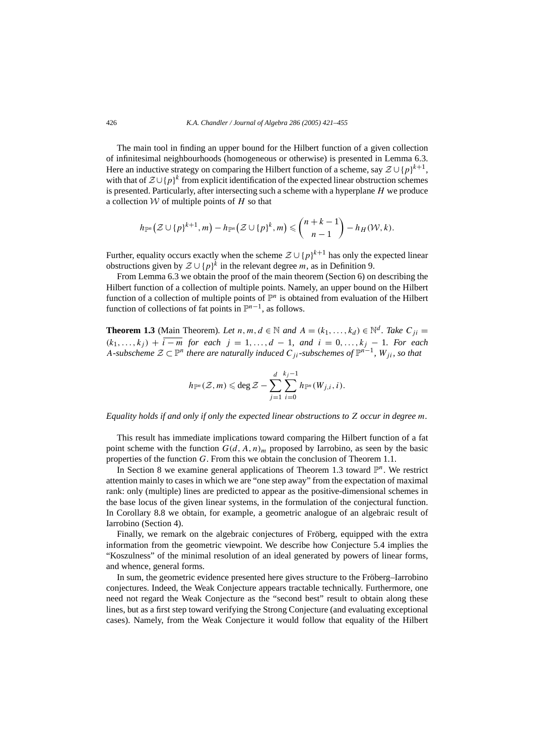The main tool in finding an upper bound for the Hilbert function of a given collection of infinitesimal neighbourhoods (homogeneous or otherwise) is presented in Lemma 6.3. Here an inductive strategy on comparing the Hilbert function of a scheme, say  $\mathcal{Z} \cup \{p\}^{k+1}$ , with that of <sup>Z</sup> ∪ {*p*}*<sup>k</sup>* from explicit identification of the expected linear obstruction schemes is presented. Particularly, after intersecting such a scheme with a hyperplane *H* we produce a collection W of multiple points of *H* so that

$$
h_{\mathbb{P}^n}\big(\mathcal{Z}\cup\{p\}^{k+1},m\big)-h_{\mathbb{P}^n}\big(\mathcal{Z}\cup\{p\}^k,m\big)\leqslant\binom{n+k-1}{n-1}-h_H(\mathcal{W},k).
$$

Further, equality occurs exactly when the scheme  $Z \cup \{p\}^{k+1}$  has only the expected linear obstructions given by  $\mathcal{Z} \cup \{p\}^k$  in the relevant degree *m*, as in Definition 9.

From Lemma 6.3 we obtain the proof of the main theorem (Section 6) on describing the Hilbert function of a collection of multiple points. Namely, an upper bound on the Hilbert function of a collection of multiple points of  $\mathbb{P}^n$  is obtained from evaluation of the Hilbert function of collections of fat points in  $\mathbb{P}^{n-1}$ , as follows.

**Theorem 1.3** (Main Theorem). Let *n, m, d*  $\in$  N *and*  $A = (k_1, ..., k_d) \in \mathbb{N}^d$ . Take  $C_{ji}$  $(k_1, \ldots, k_i) + i - m$  *for each*  $j = 1, \ldots, d - 1$ *, and*  $i = 0, \ldots, k_i - 1$ *. For each A*-subscheme  $\mathcal{Z} \subset \mathbb{P}^n$  there are naturally induced  $C_{ii}$ -subschemes of  $\mathbb{P}^{n-1}$ ,  $W_{ii}$ , so that

$$
h_{\mathbb{P}^n}(\mathcal{Z},m)\leqslant \deg \mathcal{Z}-\sum_{j=1}^d\sum_{i=0}^{k_j-1}h_{\mathbb{P}^n}(W_{j,i},i).
$$

*Equality holds if and only if only the expected linear obstructions to Z occur in degree m.*

This result has immediate implications toward comparing the Hilbert function of a fat point scheme with the function  $G(d, A, n)<sub>m</sub>$  proposed by Iarrobino, as seen by the basic properties of the function *G*. From this we obtain the conclusion of Theorem 1.1.

In Section 8 we examine general applications of Theorem 1.3 toward  $\mathbb{P}^n$ . We restrict attention mainly to cases in which we are "one step away" from the expectation of maximal rank: only (multiple) lines are predicted to appear as the positive-dimensional schemes in the base locus of the given linear systems, in the formulation of the conjectural function. In Corollary 8.8 we obtain, for example, a geometric analogue of an algebraic result of Iarrobino (Section 4).

Finally, we remark on the algebraic conjectures of Fröberg, equipped with the extra information from the geometric viewpoint. We describe how Conjecture 5.4 implies the "Koszulness" of the minimal resolution of an ideal generated by powers of linear forms, and whence, general forms.

In sum, the geometric evidence presented here gives structure to the Fröberg–Iarrobino conjectures. Indeed, the Weak Conjecture appears tractable technically. Furthermore, one need not regard the Weak Conjecture as the "second best" result to obtain along these lines, but as a first step toward verifying the Strong Conjecture (and evaluating exceptional cases). Namely, from the Weak Conjecture it would follow that equality of the Hilbert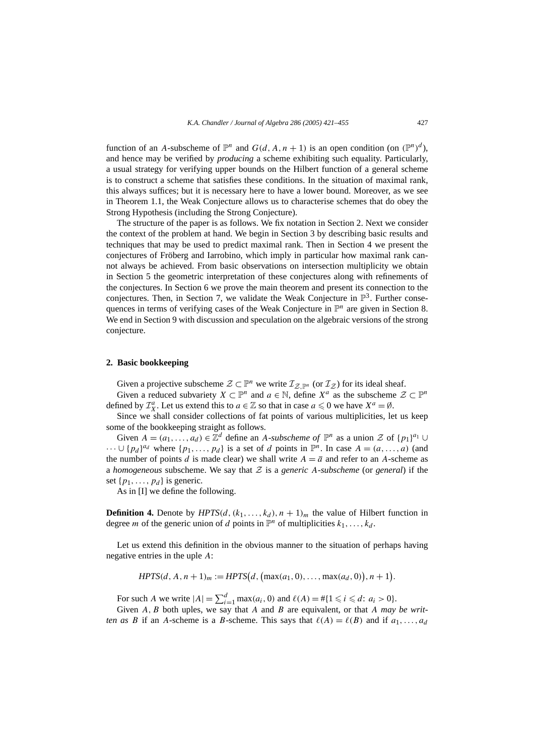function of an *A*-subscheme of  $\mathbb{P}^n$  and  $G(d, A, n + 1)$  is an open condition (on  $(\mathbb{P}^n)^d$ ), and hence may be verified by *producing* a scheme exhibiting such equality. Particularly, a usual strategy for verifying upper bounds on the Hilbert function of a general scheme is to construct a scheme that satisfies these conditions. In the situation of maximal rank, this always suffices; but it is necessary here to have a lower bound. Moreover, as we see in Theorem 1.1, the Weak Conjecture allows us to characterise schemes that do obey the Strong Hypothesis (including the Strong Conjecture).

The structure of the paper is as follows. We fix notation in Section 2. Next we consider the context of the problem at hand. We begin in Section 3 by describing basic results and techniques that may be used to predict maximal rank. Then in Section 4 we present the conjectures of Fröberg and Iarrobino, which imply in particular how maximal rank cannot always be achieved. From basic observations on intersection multiplicity we obtain in Section 5 the geometric interpretation of these conjectures along with refinements of the conjectures. In Section 6 we prove the main theorem and present its connection to the conjectures. Then, in Section 7, we validate the Weak Conjecture in  $\mathbb{P}^{3}$ . Further consequences in terms of verifying cases of the Weak Conjecture in  $\mathbb{P}^n$  are given in Section 8. We end in Section 9 with discussion and speculation on the algebraic versions of the strong conjecture.

#### **2. Basic bookkeeping**

Given a projective subscheme  $\mathcal{Z} \subset \mathbb{P}^n$  we write  $\mathcal{I}_{\mathcal{Z},\mathbb{P}^n}$  (or  $\mathcal{I}_{\mathcal{Z}}$ ) for its ideal sheaf.

Given a reduced subvariety  $X \subset \mathbb{P}^n$  and  $a \in \mathbb{N}$ , define  $X^a$  as the subscheme  $\mathcal{Z} \subset \mathbb{P}^n$ defined by  $\mathcal{I}_{X}^{a}$ . Let us extend this to  $a \in \mathbb{Z}$  so that in case  $a \leq 0$  we have  $X^{a} = \emptyset$ .

Since we shall consider collections of fat points of various multiplicities, let us keep some of the bookkeeping straight as follows.

Given  $A = (a_1, \ldots, a_d) \in \mathbb{Z}^d$  define an *A*-*subscheme of*  $\mathbb{P}^n$  as a union Z of  $\{p_1\}^{a_1} \cup$  $\cdots$  ∪ {*p<sub>d</sub>*}<sup>*ad*</sup> where {*p*<sub>1</sub>*,...,p<sub>d</sub></sub>} is a set of <i>d* points in  $\mathbb{P}^n$ . In case *A* = *(a, ..., a)* (and the number of points *d* is made clear) we shall write  $A = \overline{a}$  and refer to an *A*-scheme as a *homogeneous* subscheme. We say that  $Z$  is a *generic* A-*subscheme* (or *general*) if the set  $\{p_1, \ldots, p_d\}$  is generic.

As in [I] we define the following.

**Definition 4.** Denote by  $HPTS(d, (k_1, \ldots, k_d), n+1)$ <sub>*m*</sub> the value of Hilbert function in degree *m* of the generic union of *d* points in  $\mathbb{P}^n$  of multiplicities  $k_1, \ldots, k_d$ .

Let us extend this definition in the obvious manner to the situation of perhaps having negative entries in the uple *A*:

$$
HPTS(d, A, n + 1)m := HPTS(d, (\max(a_1, 0), \ldots, \max(a_d, 0)), n + 1).
$$

For such *A* we write  $|A| = \sum_{i=1}^{d} \max(a_i, 0)$  and  $\ell(A) = \#\{1 \le i \le d : a_i > 0\}.$ 

Given *A,B* both uples, we say that *A* and *B* are equivalent, or that *A may be written as B* if an *A*-scheme is a *B*-scheme. This says that  $\ell(A) = \ell(B)$  and if  $a_1, \ldots, a_d$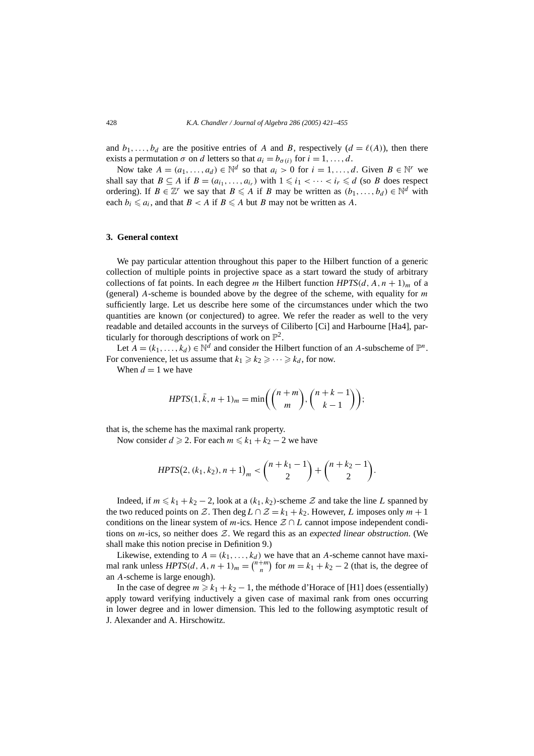and  $b_1, \ldots, b_d$  are the positive entries of *A* and *B*, respectively  $(d = \ell(A))$ , then there exists a permutation  $\sigma$  on *d* letters so that  $a_i = b_{\sigma(i)}$  for  $i = 1, \ldots, d$ .

Now take  $A = (a_1, \ldots, a_d) \in \mathbb{N}^d$  so that  $a_i > 0$  for  $i = 1, \ldots, d$ . Given  $B \in \mathbb{N}^r$  we shall say that  $B \subseteq A$  if  $B = (a_{i_1}, \ldots, a_{i_r})$  with  $1 \leq i_1 < \cdots < i_r \leq d$  (so *B* does respect ordering). If  $B \in \mathbb{Z}^r$  we say that  $B \leq A$  if *B* may be written as  $(b_1, \ldots, b_d) \in \mathbb{N}^d$  with each  $b_i \leq a_i$ , and that  $B \leq A$  if  $B \leq A$  but *B* may not be written as *A*.

#### **3. General context**

We pay particular attention throughout this paper to the Hilbert function of a generic collection of multiple points in projective space as a start toward the study of arbitrary collections of fat points. In each degree *m* the Hilbert function  $HPTS(d, A, n + 1)<sub>m</sub>$  of a (general) *A*-scheme is bounded above by the degree of the scheme, with equality for *m* sufficiently large. Let us describe here some of the circumstances under which the two quantities are known (or conjectured) to agree. We refer the reader as well to the very readable and detailed accounts in the surveys of Ciliberto [Ci] and Harbourne [Ha4], particularly for thorough descriptions of work on  $\mathbb{P}^2$ .

Let  $A = (k_1, \ldots, k_d) \in \mathbb{N}^d$  and consider the Hilbert function of an *A*-subscheme of  $\mathbb{P}^n$ . For convenience, let us assume that  $k_1 \geq k_2 \geq \cdots \geq k_d$ , for now.

When  $d = 1$  we have

$$
HPTS(1, \bar{k}, n+1)_m = \min\left(\binom{n+m}{m}, \binom{n+k-1}{k-1}\right);
$$

that is, the scheme has the maximal rank property.

Now consider  $d \ge 2$ . For each  $m \le k_1 + k_2 - 2$  we have

$$
HPTS(2, (k_1, k_2), n+1)_m < {n+k_1-1 \choose 2} + {n+k_2-1 \choose 2}.
$$

Indeed, if *m* ≤ *k*<sub>1</sub> + *k*<sub>2</sub> − 2, look at a (*k*<sub>1</sub>*, k*<sub>2</sub>)-scheme  $Z$  and take the line *L* spanned by the two reduced points on Z. Then deg  $L \cap Z = k_1 + k_2$ . However, L imposes only  $m + 1$ conditions on the linear system of  $m$ -ics. Hence  $\mathcal{Z} \cap L$  cannot impose independent conditions on *m*-ics, so neither does Z. We regard this as an *expected linear obstruction*. (We shall make this notion precise in Definition 9.)

Likewise, extending to  $A = (k_1, \ldots, k_d)$  we have that an A-scheme cannot have maximal rank unless  $HPTS(d, A, n + 1)<sub>m</sub> = {n+m \choose n}$  for  $m = k_1 + k_2 - 2$  (that is, the degree of an *A*-scheme is large enough).

In the case of degree  $m \ge k_1 + k_2 - 1$ , the méthode d'Horace of [H1] does (essentially) apply toward verifying inductively a given case of maximal rank from ones occurring in lower degree and in lower dimension. This led to the following asymptotic result of J. Alexander and A. Hirschowitz.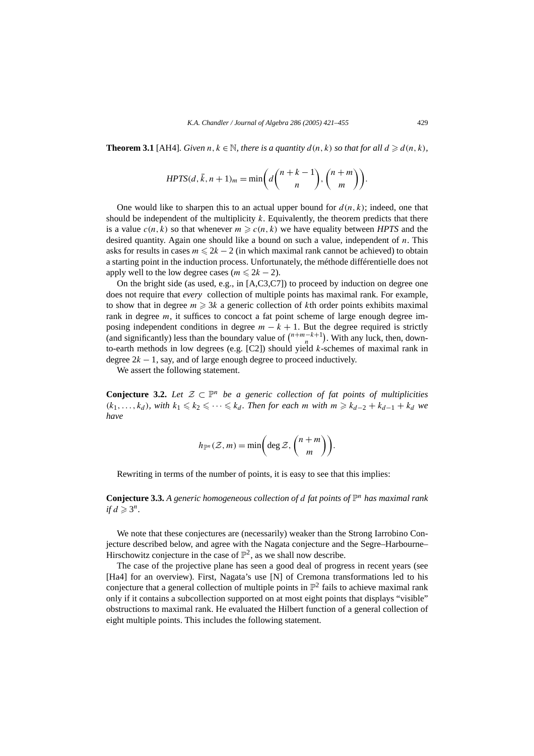**Theorem 3.1** [AH4]*. Given*  $n, k \in \mathbb{N}$ *, there is a quantity*  $d(n, k)$  *so that for all*  $d \geq d(n, k)$ *,* 

$$
HPTS(d, \bar{k}, n+1)_{m} = \min\left(d\binom{n+k-1}{n}, \binom{n+m}{m}\right).
$$

One would like to sharpen this to an actual upper bound for  $d(n, k)$ ; indeed, one that should be independent of the multiplicity *k*. Equivalently, the theorem predicts that there is a value  $c(n, k)$  so that whenever  $m \geqslant c(n, k)$  we have equality between *HPTS* and the desired quantity. Again one should like a bound on such a value, independent of *n*. This asks for results in cases  $m \le 2k - 2$  (in which maximal rank cannot be achieved) to obtain a starting point in the induction process. Unfortunately, the méthode différentielle does not apply well to the low degree cases ( $m \le 2k - 2$ ).

On the bright side (as used, e.g., in [A,C3,C7]) to proceed by induction on degree one does not require that *every* collection of multiple points has maximal rank. For example, to show that in degree  $m \geq 3k$  a generic collection of kth order points exhibits maximal rank in degree *m*, it suffices to concoct a fat point scheme of large enough degree imposing independent conditions in degree  $m - k + 1$ . But the degree required is strictly (and significantly) less than the boundary value of  $\binom{n+m-k+1}{n}$ . With any luck, then, downto-earth methods in low degrees (e.g. [C2]) should yield *k*-schemes of maximal rank in degree  $2k - 1$ , say, and of large enough degree to proceed inductively.

We assert the following statement.

**Conjecture 3.2.** *Let*  $\mathcal{Z}$  ⊂  $\mathbb{P}^n$  *be a generic collection of fat points of multiplicities (k*<sub>1</sub>*,...,k<sub>d</sub></sub>)<i>, with*  $k_1 \leq k_2 \leq \cdots \leq k_d$ *. Then for each m with*  $m \geq k_{d-2} + k_{d-1} + k_d$  *we have*

$$
h_{\mathbb{P}^n}(\mathcal{Z},m) = \min\left(\deg \mathcal{Z},\binom{n+m}{m}\right).
$$

Rewriting in terms of the number of points, it is easy to see that this implies:

**Conjecture 3.3.** A generic homogeneous collection of d fat points of  $\mathbb{P}^n$  has maximal rank *if*  $d \geqslant 3^n$ .

We note that these conjectures are (necessarily) weaker than the Strong Iarrobino Conjecture described below, and agree with the Nagata conjecture and the Segre–Harbourne– Hirschowitz conjecture in the case of  $\mathbb{P}^2$ , as we shall now describe.

The case of the projective plane has seen a good deal of progress in recent years (see [Ha4] for an overview). First, Nagata's use [N] of Cremona transformations led to his conjecture that a general collection of multiple points in  $\mathbb{P}^2$  fails to achieve maximal rank only if it contains a subcollection supported on at most eight points that displays "visible" obstructions to maximal rank. He evaluated the Hilbert function of a general collection of eight multiple points. This includes the following statement.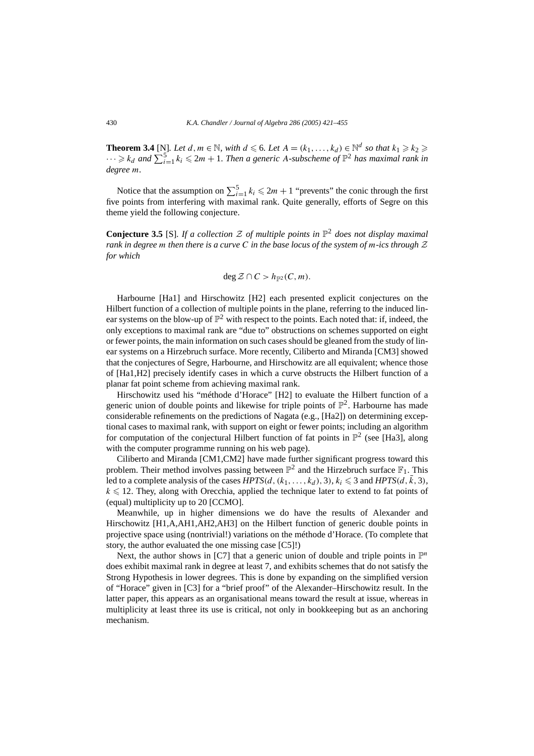**Theorem 3.4** [N]*. Let*  $d, m \in \mathbb{N}$ *, with*  $d \leq 6$ *. Let*  $A = (k_1, \ldots, k_d) \in \mathbb{N}^d$  so that  $k_1 \geq k_2 \geq 4$  $\cdots \geqslant k_d$  and  $\sum_{i=1}^5 k_i \leqslant 2m+1$ . Then a generic A-subscheme of  $\mathbb{P}^2$  has maximal rank in *degree m.*

Notice that the assumption on  $\sum_{i=1}^{5} k_i \le 2m + 1$  "prevents" the conic through the first five points from interfering with maximal rank. Quite generally, efforts of Segre on this theme yield the following conjecture.

**Conjecture 3.5** [S]*. If a collection* <sup>Z</sup> *of multiple points in* <sup>P</sup><sup>2</sup> *does not display maximal rank in degree m then there is a curve C in the base locus of the system of m-ics through* Z *for which*

$$
\deg \mathcal{Z} \cap C > h_{\mathbb{P}^2}(C,m).
$$

Harbourne [Ha1] and Hirschowitz [H2] each presented explicit conjectures on the Hilbert function of a collection of multiple points in the plane, referring to the induced linear systems on the blow-up of  $\mathbb{P}^2$  with respect to the points. Each noted that: if, indeed, the only exceptions to maximal rank are "due to" obstructions on schemes supported on eight or fewer points, the main information on such cases should be gleaned from the study of linear systems on a Hirzebruch surface. More recently, Ciliberto and Miranda [CM3] showed that the conjectures of Segre, Harbourne, and Hirschowitz are all equivalent; whence those of [Ha1,H2] precisely identify cases in which a curve obstructs the Hilbert function of a planar fat point scheme from achieving maximal rank.

Hirschowitz used his "méthode d'Horace" [H2] to evaluate the Hilbert function of a generic union of double points and likewise for triple points of  $\mathbb{P}^2$ . Harbourne has made considerable refinements on the predictions of Nagata (e.g., [Ha2]) on determining exceptional cases to maximal rank, with support on eight or fewer points; including an algorithm for computation of the conjectural Hilbert function of fat points in  $\mathbb{P}^2$  (see [Ha3], along with the computer programme running on his web page).

Ciliberto and Miranda [CM1,CM2] have made further significant progress toward this problem. Their method involves passing between  $\mathbb{P}^2$  and the Hirzebruch surface  $\mathbb{F}_1$ . This led to a complete analysis of the cases  $HPTS(d, (k_1, \ldots, k_d), 3)$ ,  $k_i \leq 3$  and  $HPTS(d, \bar{k}, 3)$ ,  $k \leq 12$ . They, along with Orecchia, applied the technique later to extend to fat points of (equal) multiplicity up to 20 [CCMO].

Meanwhile, up in higher dimensions we do have the results of Alexander and Hirschowitz [H1,A,AH1,AH2,AH3] on the Hilbert function of generic double points in projective space using (nontrivial!) variations on the méthode d'Horace. (To complete that story, the author evaluated the one missing case [C5]!)

Next, the author shows in [C7] that a generic union of double and triple points in  $\mathbb{P}^n$ does exhibit maximal rank in degree at least 7, and exhibits schemes that do not satisfy the Strong Hypothesis in lower degrees. This is done by expanding on the simplified version of "Horace" given in [C3] for a "brief proof" of the Alexander–Hirschowitz result. In the latter paper, this appears as an organisational means toward the result at issue, whereas in multiplicity at least three its use is critical, not only in bookkeeping but as an anchoring mechanism.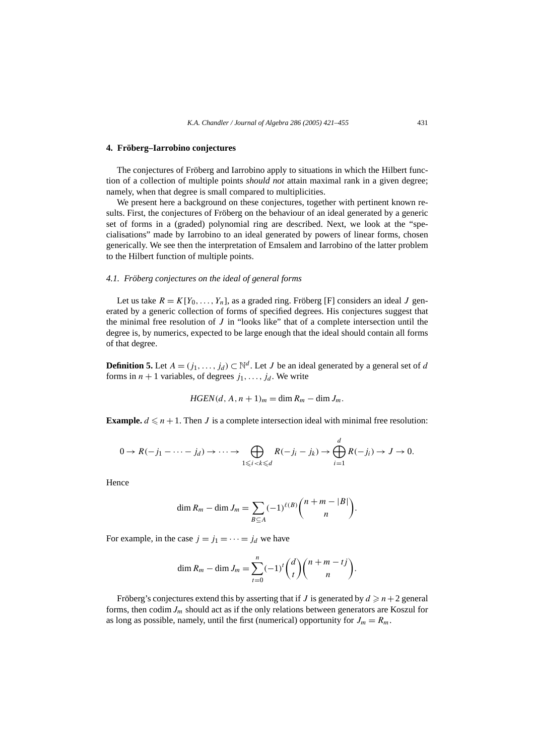# **4. Fröberg–Iarrobino conjectures**

The conjectures of Fröberg and Iarrobino apply to situations in which the Hilbert function of a collection of multiple points *should not* attain maximal rank in a given degree; namely, when that degree is small compared to multiplicities.

We present here a background on these conjectures, together with pertinent known results. First, the conjectures of Fröberg on the behaviour of an ideal generated by a generic set of forms in a (graded) polynomial ring are described. Next, we look at the "specialisations" made by Iarrobino to an ideal generated by powers of linear forms, chosen generically. We see then the interpretation of Emsalem and Iarrobino of the latter problem to the Hilbert function of multiple points.

#### *4.1. Fröberg conjectures on the ideal of general forms*

Let us take  $R = K[Y_0, \ldots, Y_n]$ , as a graded ring. Fröberg [F] considers an ideal *J* generated by a generic collection of forms of specified degrees. His conjectures suggest that the minimal free resolution of *J* in "looks like" that of a complete intersection until the degree is, by numerics, expected to be large enough that the ideal should contain all forms of that degree.

**Definition 5.** Let  $A = (j_1, \ldots, j_d) \subset \mathbb{N}^d$ . Let *J* be an ideal generated by a general set of *d* forms in  $n + 1$  variables, of degrees  $j_1, \ldots, j_d$ . We write

$$
HGEN(d, A, n+1)m = \dim Rm - \dim Jm.
$$

**Example.**  $d \leq n+1$ . Then *J* is a complete intersection ideal with minimal free resolution:

$$
0 \to R(-j_1 - \dots - j_d) \to \dots \to \bigoplus_{1 \leq i < k \leq d} R(-j_i - j_k) \to \bigoplus_{i=1}^d R(-j_i) \to J \to 0.
$$

Hence

$$
\dim R_m - \dim J_m = \sum_{B \subseteq A} (-1)^{\ell(B)} \binom{n+m-|B|}{n}.
$$

For example, in the case  $j = j_1 = \cdots = j_d$  we have

dim 
$$
R_m
$$
 – dim  $J_m$  =  $\sum_{t=0}^{n} (-1)^t {d \choose t} {n+m-tj \choose n}$ .

Fröberg's conjectures extend this by asserting that if *J* is generated by  $d \geq n+2$  general forms, then codim*Jm* should act as if the only relations between generators are Koszul for as long as possible, namely, until the first (numerical) opportunity for  $J_m = R_m$ .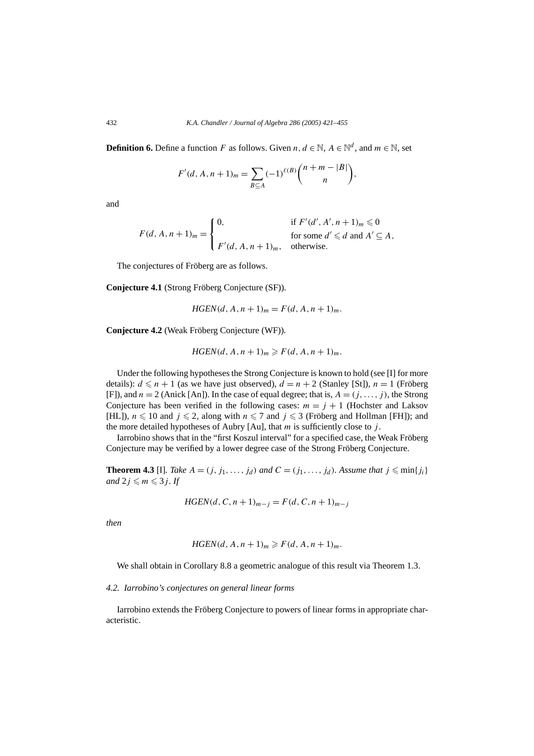**Definition 6.** Define a function *F* as follows. Given *n*,  $d \in \mathbb{N}$ ,  $A \in \mathbb{N}^d$ , and  $m \in \mathbb{N}$ , set

$$
F'(d, A, n+1)_{m} = \sum_{B \subseteq A} (-1)^{\ell(B)} {n+m-|B| \choose n},
$$

and

$$
F(d, A, n+1)m = \begin{cases} 0, & \text{if } F'(d', A', n+1)m \le 0 \\ & \text{for some } d' \le d \text{ and } A' \subseteq A, \\ F'(d, A, n+1)m, & \text{otherwise.} \end{cases}
$$

The conjectures of Fröberg are as follows.

**Conjecture 4.1** (Strong Fröberg Conjecture (SF))*.*

*HGEN* $(d, A, n + 1)$ <sub>*m*</sub> =  $F(d, A, n + 1)$ <sub>*m*</sub>.

**Conjecture 4.2** (Weak Fröberg Conjecture (WF))*.*

$$
HGEN(d, A, n+1)m \geq F(d, A, n+1)m.
$$

Under the following hypotheses the Strong Conjecture is known to hold (see [I] for more details):  $d \le n + 1$  (as we have just observed),  $d = n + 2$  (Stanley [St]),  $n = 1$  (Fröberg [F]), and  $n = 2$  (Anick [An]). In the case of equal degree; that is,  $A = (j, \ldots, j)$ , the Strong Conjecture has been verified in the following cases:  $m = j + 1$  (Hochster and Laksov [HL]),  $n \le 10$  and  $j \le 2$ , along with  $n \le 7$  and  $j \le 3$  (Fröberg and Hollman [FH]); and the more detailed hypotheses of Aubry  $[Au]$ , that *m* is sufficiently close to *j*.

Iarrobino shows that in the "first Koszul interval" for a specified case, the Weak Fröberg Conjecture may be verified by a lower degree case of the Strong Fröberg Conjecture.

**Theorem 4.3** [I]*. Take*  $A = (j, j_1, \ldots, j_d)$  *and*  $C = (j_1, \ldots, j_d)$ *. Assume that*  $j \leqslant \min\{j_i\}$ *and*  $2j \le m \le 3j$ *. If* 

$$
HGEN(d, C, n + 1)_{m-j} = F(d, C, n + 1)_{m-j}
$$

*then*

$$
HGEN(d, A, n+1)m \geq F(d, A, n+1)m.
$$

We shall obtain in Corollary 8.8 a geometric analogue of this result via Theorem 1.3.

# *4.2. Iarrobino's conjectures on general linear forms*

Iarrobino extends the Fröberg Conjecture to powers of linear forms in appropriate characteristic.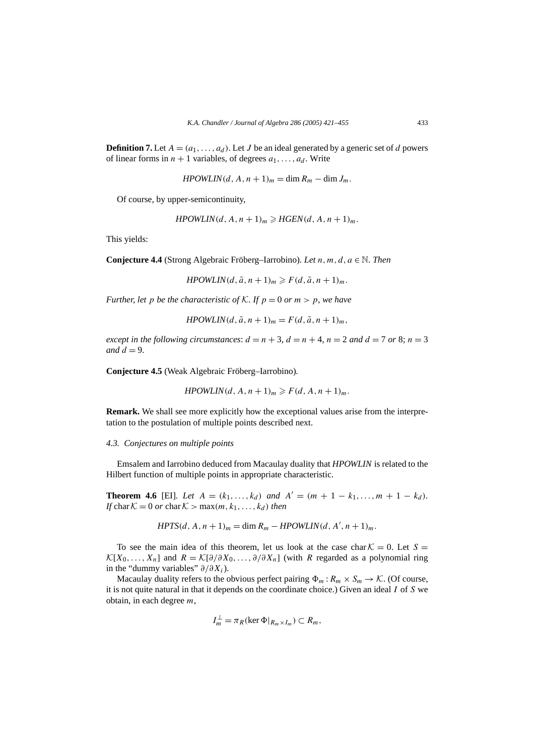**Definition 7.** Let  $A = (a_1, \ldots, a_d)$ . Let *J* be an ideal generated by a generic set of *d* powers of linear forms in  $n + 1$  variables, of degrees  $a_1, \ldots, a_d$ . Write

$$
HPOWLIN(d, A, n+1)m = \dim Rm - \dim Jm.
$$

Of course, by upper-semicontinuity,

$$
HPOWLIN(d, A, n+1)m \geq HGEN(d, A, n+1)m.
$$

This yields:

**Conjecture 4.4** (Strong Algebraic Fröberg–Iarrobino)*. Let n, m, d, a* ∈ N*. Then*

 $HPOWLIN(d, \bar{a}, n+1)_m \geqslant F(d, \bar{a}, n+1)_m.$ 

*Further, let p be the characteristic of*  $K$ *. If*  $p = 0$  *or*  $m > p$ *, we have* 

$$
HPOWLIN(d, \bar{a}, n+1)m = F(d, \bar{a}, n+1)m,
$$

*except in the following circumstances:*  $d = n + 3$ ,  $d = n + 4$ ,  $n = 2$  *and*  $d = 7$  *or* 8;  $n = 3$ *and*  $d = 9$ .

**Conjecture 4.5** (Weak Algebraic Fröberg–Iarrobino)*.*

$$
HPOWLIN(d, A, n+1)m \geq F(d, A, n+1)m.
$$

**Remark.** We shall see more explicitly how the exceptional values arise from the interpretation to the postulation of multiple points described next.

#### *4.3. Conjectures on multiple points*

Emsalem and Iarrobino deduced from Macaulay duality that *HPOWLIN* is related to the Hilbert function of multiple points in appropriate characteristic.

**Theorem 4.6** [EI]*. Let*  $A = (k_1, ..., k_d)$  *and*  $A' = (m + 1 - k_1, ..., m + 1 - k_d)$ *. If* char  $K = 0$  *or* char  $K > \max(m, k_1, \ldots, k_d)$  *then* 

$$
HPTS(d, A, n+1)m = \dim Rm - HPOWLIN(d, A', n+1)m.
$$

To see the main idea of this theorem, let us look at the case char  $K = 0$ . Let  $S =$  $\mathcal{K}[X_0,\ldots,X_n]$  and  $R = \mathcal{K}[\partial/\partial X_0,\ldots,\partial/\partial X_n]$  (with *R* regarded as a polynomial ring in the "dummy variables" *∂/∂Xi*).

Macaulay duality refers to the obvious perfect pairing  $\Phi_m : R_m \times S_m \to \mathcal{K}$ . (Of course, it is not quite natural in that it depends on the coordinate choice.) Given an ideal *I* of *S* we obtain, in each degree *m*,

$$
I_m^{\perp} = \pi_R(\ker \Phi|_{R_m \times I_m}) \subset R_m,
$$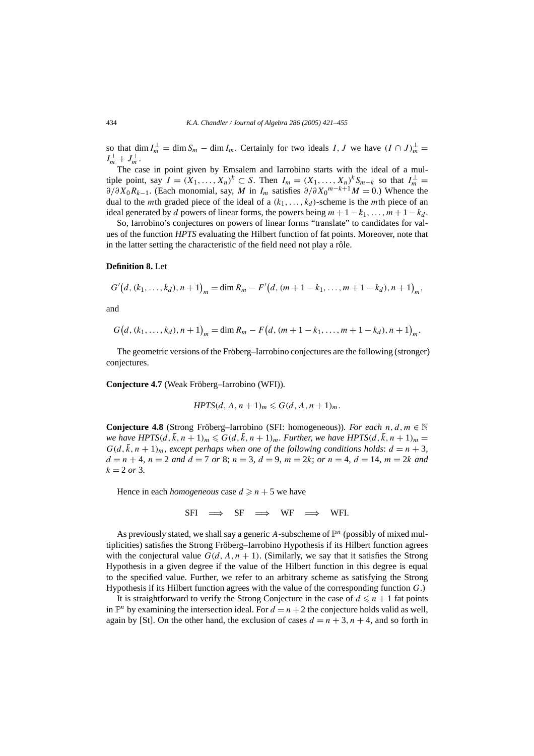so that dim  $I_m^{\perp} = \dim S_m - \dim I_m$ . Certainly for two ideals *I*, *J* we have  $(I \cap J)_m^{\perp} =$  $I_m^{\perp} + J_m^{\perp}$ .

The case in point given by Emsalem and Iarrobino starts with the ideal of a multiple point, say  $I = (X_1, \ldots, X_n)^k \subset S$ . Then  $I_m = (X_1, \ldots, X_n)^k S_{m-k}$  so that  $I_m^{\perp} = I_m$ *∂/∂X*0*Rk*−1. (Each monomial, say, *M* in *Im* satisfies *∂/∂X*<sup>0</sup> *<sup>m</sup>*−*k*+1*M* = 0.) Whence the dual to the *m*th graded piece of the ideal of a  $(k_1, \ldots, k_d)$ -scheme is the *m*th piece of an ideal generated by *d* powers of linear forms, the powers being  $m+1-k_1, \ldots, m+1-k_d$ .

So, Iarrobino's conjectures on powers of linear forms "translate" to candidates for values of the function *HPTS* evaluating the Hilbert function of fat points. Moreover, note that in the latter setting the characteristic of the field need not play a rôle.

#### **Definition 8.** Let

$$
G'(d, (k_1, ..., k_d), n+1)_m = \dim R_m - F'(d, (m+1-k_1, ..., m+1-k_d), n+1)_m,
$$

and

$$
G(d, (k_1, ..., k_d), n+1)_m = \dim R_m - F(d, (m+1-k_1, ..., m+1-k_d), n+1)_m.
$$

The geometric versions of the Fröberg–Iarrobino conjectures are the following (stronger) conjectures.

**Conjecture 4.7** (Weak Fröberg–Iarrobino (WFI))*.*

$$
HPTS(d, A, n+1)m \leq G(d, A, n+1)m.
$$

**Conjecture 4.8** (Strong Fröberg–Iarrobino (SFI: homogeneous)). For each  $n, d, m \in \mathbb{N}$ *we have HPTS* $(d, \bar{k}, n+1)_m \leq G(d, \bar{k}, n+1)_m$ . Further, we have HPTS $(d, \bar{k}, n+1)_m =$  $G(d, \bar{k}, n + 1)<sub>m</sub>$ , except perhaps when one of the following conditions holds:  $d = n + 3$ ,  $d = n + 4$ ,  $n = 2$  and  $d = 7$  or 8;  $n = 3$ ,  $d = 9$ ,  $m = 2k$ ; or  $n = 4$ ,  $d = 14$ ,  $m = 2k$  and  $k = 2$  *or* 3*.* 

Hence in each *homogeneous* case  $d \ge n + 5$  we have

SFI  $\Rightarrow$  SF  $\Rightarrow$  WF  $=$ ⇒ WFI*.*

As previously stated, we shall say a generic A-subscheme of  $\mathbb{P}^n$  (possibly of mixed multiplicities) satisfies the Strong Fröberg–Iarrobino Hypothesis if its Hilbert function agrees with the conjectural value  $G(d, A, n + 1)$ . (Similarly, we say that it satisfies the Strong Hypothesis in a given degree if the value of the Hilbert function in this degree is equal to the specified value. Further, we refer to an arbitrary scheme as satisfying the Strong Hypothesis if its Hilbert function agrees with the value of the corresponding function *G*.)

It is straightforward to verify the Strong Conjecture in the case of  $d \leq n + 1$  fat points in  $\mathbb{P}^n$  by examining the intersection ideal. For  $d = n + 2$  the conjecture holds valid as well, again by [St]. On the other hand, the exclusion of cases  $d = n + 3$ ,  $n + 4$ , and so forth in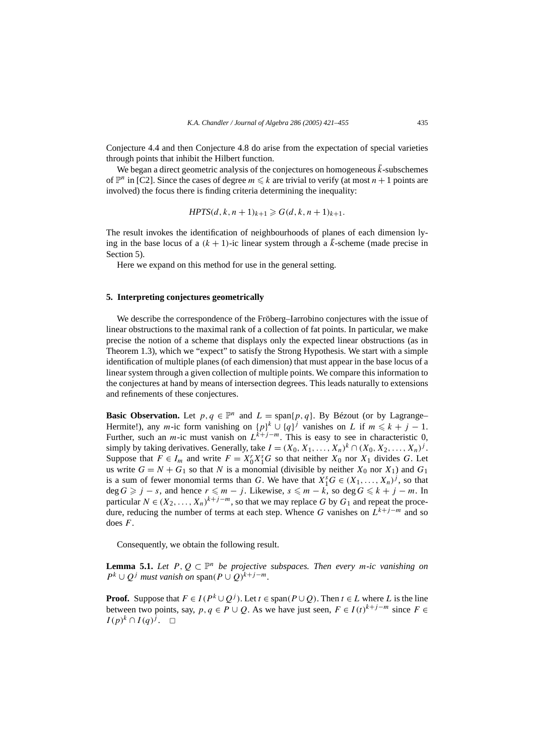Conjecture 4.4 and then Conjecture 4.8 do arise from the expectation of special varieties through points that inhibit the Hilbert function.

We began a direct geometric analysis of the conjectures on homogeneous  $\bar{k}$ -subschemes of  $\mathbb{P}^n$  in [C2]. Since the cases of degree  $m \leq k$  are trivial to verify (at most  $n+1$  points are involved) the focus there is finding criteria determining the inequality:

$$
HPTS(d, k, n + 1)_{k+1} \ge G(d, k, n + 1)_{k+1}.
$$

The result invokes the identification of neighbourhoods of planes of each dimension lying in the base locus of a  $(k + 1)$ -ic linear system through a  $\bar{k}$ -scheme (made precise in Section 5).

Here we expand on this method for use in the general setting.

# **5. Interpreting conjectures geometrically**

We describe the correspondence of the Fröberg–Iarrobino conjectures with the issue of linear obstructions to the maximal rank of a collection of fat points. In particular, we make precise the notion of a scheme that displays only the expected linear obstructions (as in Theorem 1.3), which we "expect" to satisfy the Strong Hypothesis. We start with a simple identification of multiple planes (of each dimension) that must appear in the base locus of a linear system through a given collection of multiple points. We compare this information to the conjectures at hand by means of intersection degrees. This leads naturally to extensions and refinements of these conjectures.

**Basic Observation.** Let  $p, q \in \mathbb{P}^n$  and  $L = \text{span}\{p, q\}$ . By Bézout (or by Lagrange– Hermite!), any *m*-ic form vanishing on  $\{p\}^k \cup \{q\}^j$  vanishes on *L* if  $m \leq k + j - 1$ . Further, such an *m*-ic must vanish on  $L^{k+j-m}$ . This is easy to see in characteristic 0, simply by taking derivatives. Generally, take  $I = (X_0, X_1, \ldots, X_n)^k \cap (X_0, X_2, \ldots, X_n)^j$ . Suppose that  $F \in I_m$  and write  $F = X_0^r X_1^s G$  so that neither  $X_0$  nor  $X_1$  divides  $G$ . Let us write  $G = N + G_1$  so that *N* is a monomial (divisible by neither  $X_0$  nor  $X_1$ ) and  $G_1$ is a sum of fewer monomial terms than *G*. We have that  $X_1^sG \in (X_1, \ldots, X_n)^j$ , so that  $deg G$  ≥ *j* − *s*, and hence  $r \le m - j$ . Likewise,  $s \le m - k$ , so  $deg G \le k + j - m$ . In particular  $N \in (X_2, \ldots, X_n)^{k+j-m}$ , so that we may replace G by  $G_1$  and repeat the procedure, reducing the number of terms at each step. Whence *G* vanishes on  $L^{k+j-m}$  and so does *F*.

Consequently, we obtain the following result.

**Lemma 5.1.** *Let*  $P, Q \subset \mathbb{P}^n$  *be projective subspaces. Then every m-ic vanishing on*  $P^k \cup Q^j$  *must vanish on* span $(P \cup Q)^{k+j-m}$ .

**Proof.** Suppose that  $F \in I(P^k \cup Q^j)$ . Let  $t \in \text{span}(P \cup Q)$ . Then  $t \in L$  where *L* is the line between two points, say, *p*,  $q \in P \cup Q$ . As we have just seen,  $F \in I(t)^{k+j-m}$  since  $F \in$ *I*(*p*)<sup>*k*</sup> ∩ *I*(*q*)<sup>*j*</sup>. □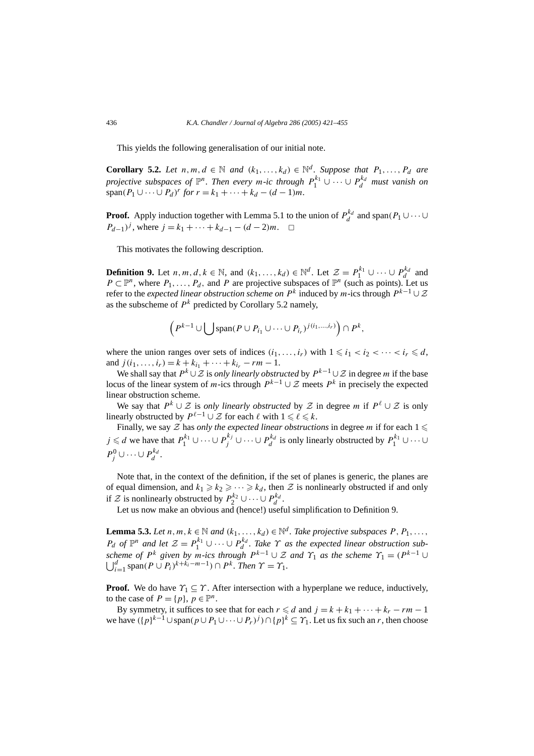This yields the following generalisation of our initial note.

**Corollary 5.2.** *Let*  $n, m, d \in \mathbb{N}$  *and*  $(k_1, \ldots, k_d) \in \mathbb{N}^d$ *. Suppose that*  $P_1, \ldots, P_d$  *are projective subspaces of*  $\mathbb{P}^n$ *. Then every m-ic through*  $P_1^{k_1} \cup \cdots \cup P_d^{k_d}$  *must vanish on*  $span(P_1 \cup \cdots \cup P_d)^r$  *for*  $r = k_1 + \cdots + k_d - (d-1)m$ .

**Proof.** Apply induction together with Lemma 5.1 to the union of  $P_d^{k_d}$  and span $(P_1 \cup \cdots \cup$ *P*<sub>d−1</sub>*)<sup>j*</sup>, where  $j = k_1 + \cdots + k_{d-1} - (d-2)m$ . □

This motivates the following description.

**Definition 9.** Let *n, m, d, k*  $\in \mathbb{N}$ , and  $(k_1, \ldots, k_d) \in \mathbb{N}^d$ . Let  $\mathcal{Z} = P_1^{k_1} \cup \cdots \cup P_d^{k_d}$  and *P* ⊂  $\mathbb{P}^n$ , where *P*<sub>1</sub>, ..., *P*<sub>d</sub>, and *P* are projective subspaces of  $\mathbb{P}^n$  (such as points). Let us refer to the *expected linear obstruction scheme on*  $P^k$  induced by *m*-ics through  $P^{k-1} \cup \mathcal{Z}$ as the subscheme of  $P^k$  predicted by Corollary 5.2 namely,

$$
\left(P^{k-1}\cup\bigcup\mathrm{span}(P\cup P_{i_1}\cup\cdots\cup P_{i_r})^{j(i_1,\ldots,i_r)}\right)\cap P^k,
$$

where the union ranges over sets of indices  $(i_1, \ldots, i_r)$  with  $1 \leq i_1 < i_2 < \cdots < i_r \leq d$ , and  $j(i_1, \ldots, i_r) = k + k_{i_1} + \cdots + k_{i_r} - rm - 1$ .

We shall say that  $P^k \cup \mathcal{Z}$  is *only linearly obstructed* by  $P^{k-1} \cup \mathcal{Z}$  in degree *m* if the base locus of the linear system of *m*-ics through  $P^{k-1} \cup \mathcal{Z}$  meets  $P^k$  in precisely the expected linear obstruction scheme.

We say that  $P^k \cup \mathcal{Z}$  is *only linearly obstructed* by  $\mathcal Z$  in degree *m* if  $P^l \cup \mathcal{Z}$  is only linearly obstructed by  $P^{\ell-1} \cup \mathcal{Z}$  for each  $\ell$  with  $1 \leq \ell \leq k$ .

Finally, we say  $\mathcal Z$  has *only the expected linear obstructions* in degree *m* if for each  $1 \leq$ *j* ≤ *d* we have that  $P_1^{k_1} \cup \cdots \cup P_j^{k_j} \cup \cdots \cup P_d^{k_d}$  is only linearly obstructed by  $P_1^{k_1} \cup \cdots \cup$  $P_j^0 \cup \cdots \cup P_d^{k_d}$ .

Note that, in the context of the definition, if the set of planes is generic, the planes are of equal dimension, and  $k_1 \ge k_2 \ge \cdots \ge k_d$ , then Z is nonlinearly obstructed if and only if Z is nonlinearly obstructed by  $P_2^{k_2} \cup \cdots \cup P_d^{k_d}$ .

Let us now make an obvious and (hence!) useful simplification to Definition 9.

**Lemma 5.3.** *Let*  $n, m, k \in \mathbb{N}$  *and*  $(k_1, \ldots, k_d) \in \mathbb{N}^d$ *. Take projective subspaces*  $P, P_1, \ldots$ , *Pd of*  $\mathbb{P}^n$  *and let*  $\mathcal{Z} = P_1^{k_1} \cup \cdots \cup P_d^{k_d}$ . Take  $\Upsilon$  *as the expected linear obstruction subscheme of*  $P^k$  *given by*  $m$ *-ics through*  $P^{k-1} \cup \mathcal{Z}$  *and*  $\Upsilon_1$  *as the scheme*  $\Upsilon_1 = (P^{k-1} \cup \mathcal{Z})$  $\bigcup_{i=1}^d$  span $(P \cup P_i)^{k+k_i-m-1}) \cap P^k$ . Then  $\Upsilon = \Upsilon_1$ .

**Proof.** We do have  $\gamma_1 \subseteq \gamma$ . After intersection with a hyperplane we reduce, inductively, to the case of  $P = \{p\}, p \in \mathbb{P}^n$ .

By symmetry, it suffices to see that for each  $r \le d$  and  $j = k + k_1 + \cdots + k_r - rm - 1$ we have  $({p}^k)^{k-1} \cup \text{span}(p \cup P_1 \cup \cdots \cup P_r)^j \cap {p}^k \subseteq \Upsilon_1$ . Let us fix such an *r*, then choose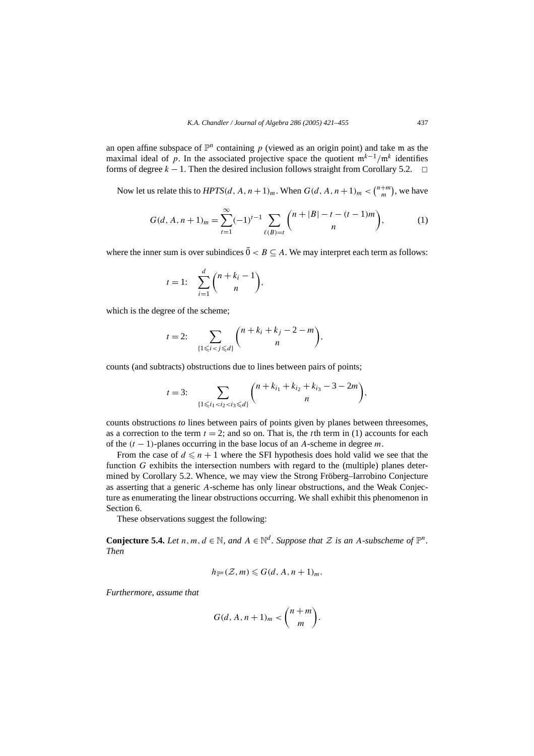an open affine subspace of  $\mathbb{P}^n$  containing p (viewed as an origin point) and take m as the maximal ideal of *p*. In the associated projective space the quotient  $m^{k-1}/m^k$  identifies forms of degree  $k - 1$ . Then the desired inclusion follows straight from Corollary 5.2.  $\Box$ 

Now let us relate this to  $HPTS(d, A, n+1)<sub>m</sub>$ . When  $G(d, A, n+1)<sub>m</sub> < {n+m \choose m}$ , we have

$$
G(d, A, n+1)m = \sum_{t=1}^{\infty} (-1)^{t-1} \sum_{\ell(B)=t} {n+|B|-t-(t-1)m \choose n},
$$
 (1)

where the inner sum is over subindices  $0 < B \subseteq A$ . We may interpret each term as follows:

$$
t = 1: \quad \sum_{i=1}^d \binom{n+k_i-1}{n},
$$

which is the degree of the scheme;

$$
t = 2: \sum_{\{1 \le i < j \le d\}} {n + k_i + k_j - 2 - m \choose n},
$$

counts (and subtracts) obstructions due to lines between pairs of points;

$$
t=3:\sum_{\{1\leq i_1
$$

counts obstructions *to* lines between pairs of points given by planes between threesomes, as a correction to the term  $t = 2$ ; and so on. That is, the *t*th term in (1) accounts for each of the *(t* − 1*)*-planes occurring in the base locus of an *A*-scheme in degree *m*.

From the case of  $d \leq n+1$  where the SFI hypothesis does hold valid we see that the function *G* exhibits the intersection numbers with regard to the (multiple) planes determined by Corollary 5.2. Whence, we may view the Strong Fröberg–Iarrobino Conjecture as asserting that a generic *A*-scheme has only linear obstructions, and the Weak Conjecture as enumerating the linear obstructions occurring. We shall exhibit this phenomenon in Section 6.

These observations suggest the following:

**Conjecture 5.4.** *Let*  $n, m, d \in \mathbb{N}$ *, and*  $A \in \mathbb{N}^d$ *. Suppose that*  $\mathcal{Z}$  *is an*  $A$ *-subscheme of*  $\mathbb{P}^n$ *. Then*

$$
h_{\mathbb{P}^n}(\mathcal{Z},m)\leqslant G(d,A,n+1)_m.
$$

*Furthermore, assume that*

$$
G(d, A, n+1)m < {n+m \choose m}.
$$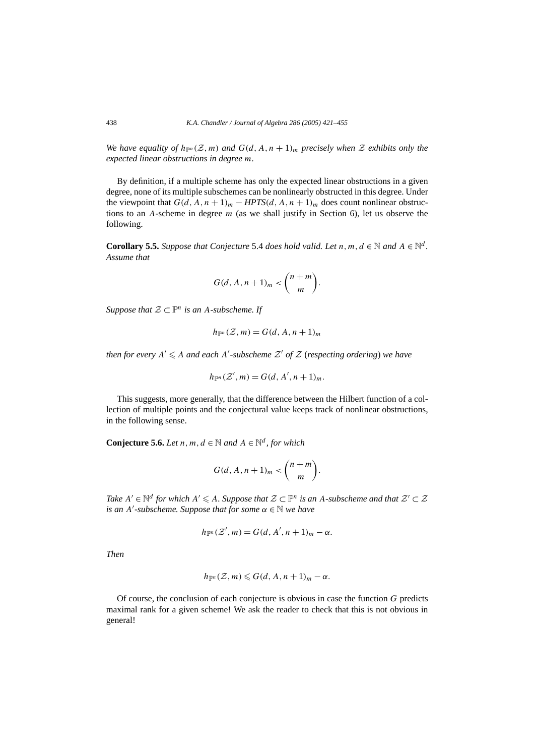*We have equality of*  $h_{\mathbb{P}^n}(\mathcal{Z}, m)$  *and*  $G(d, A, n + 1)$ *<sub><i>m*</sub> precisely when  $\mathcal Z$  exhibits only the *expected linear obstructions in degree m.*

By definition, if a multiple scheme has only the expected linear obstructions in a given degree, none of its multiple subschemes can be nonlinearly obstructed in this degree. Under the viewpoint that  $G(d, A, n + 1)<sub>m</sub> - HPTS(d, A, n + 1)<sub>m</sub>$  does count nonlinear obstructions to an *A*-scheme in degree *m* (as we shall justify in Section 6), let us observe the following.

**Corollary 5.5.** Suppose that Conjecture 5.4 does hold valid. Let  $n, m, d \in \mathbb{N}$  and  $A \in \mathbb{N}^d$ . *Assume that*

$$
G(d, A, n+1)m < {n+m \choose m}.
$$

*Suppose that*  $\mathcal{Z} \subset \mathbb{P}^n$  *is an A-subscheme. If* 

$$
h_{\mathbb{P}^n}(\mathcal{Z},m) = G(d,A,n+1)_m
$$

*then for every*  $A' \leq A$  *and each*  $A'$ -subscheme  $\mathcal{Z}'$  of  $\mathcal{Z}$  (respecting ordering) we have

$$
h_{\mathbb{P}^n}(\mathcal{Z}',m)=G(d,A',n+1)_m.
$$

This suggests, more generally, that the difference between the Hilbert function of a collection of multiple points and the conjectural value keeps track of nonlinear obstructions, in the following sense.

**Conjecture 5.6.** *Let*  $n, m, d \in \mathbb{N}$  *and*  $A \in \mathbb{N}^d$ *, for which* 

$$
G(d, A, n+1)m < {n+m \choose m}.
$$

*Take*  $A' \in \mathbb{N}^d$  *for which*  $A' \leq A$ *. Suppose that*  $\mathcal{Z} \subset \mathbb{P}^n$  *is an A-subscheme and that*  $\mathcal{Z}' \subset \mathcal{Z}$ *is an A -subscheme. Suppose that for some α* ∈ N *we have*

$$
h_{\mathbb{P}^n}(\mathcal{Z}',m)=G(d,A',n+1)_m-\alpha.
$$

*Then*

$$
h_{\mathbb{P}^n}(\mathcal{Z},m)\leqslant G(d,A,n+1)_m-\alpha.
$$

Of course, the conclusion of each conjecture is obvious in case the function *G* predicts maximal rank for a given scheme! We ask the reader to check that this is not obvious in general!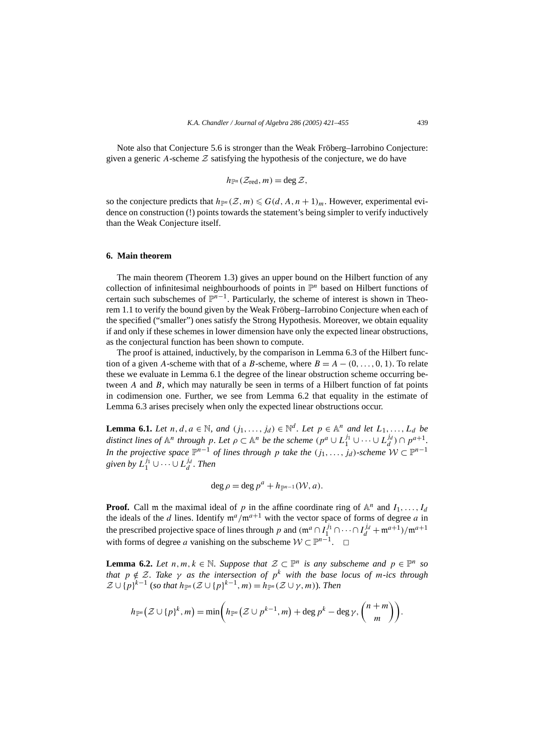Note also that Conjecture 5.6 is stronger than the Weak Fröberg–Iarrobino Conjecture: given a generic A-scheme  $Z$  satisfying the hypothesis of the conjecture, we do have

$$
h_{\mathbb{P}^n}(\mathcal{Z}_{\text{red}},m)=\deg \mathcal{Z},
$$

so the conjecture predicts that  $h_{\mathbb{P}^n}(\mathcal{Z}, m) \leq G(d, A, n+1)_m$ . However, experimental evidence on construction (!) points towards the statement's being simpler to verify inductively than the Weak Conjecture itself.

#### **6. Main theorem**

The main theorem (Theorem 1.3) gives an upper bound on the Hilbert function of any collection of infinitesimal neighbourhoods of points in  $\mathbb{P}^n$  based on Hilbert functions of certain such subschemes of  $\mathbb{P}^{n-1}$ . Particularly, the scheme of interest is shown in Theorem 1.1 to verify the bound given by the Weak Fröberg–Iarrobino Conjecture when each of the specified ("smaller") ones satisfy the Strong Hypothesis. Moreover, we obtain equality if and only if these schemes in lower dimension have only the expected linear obstructions, as the conjectural function has been shown to compute.

The proof is attained, inductively, by the comparison in Lemma 6.3 of the Hilbert function of a given *A*-scheme with that of a *B*-scheme, where  $B = A - (0, \ldots, 0, 1)$ . To relate these we evaluate in Lemma 6.1 the degree of the linear obstruction scheme occurring between *A* and *B*, which may naturally be seen in terms of a Hilbert function of fat points in codimension one. Further, we see from Lemma 6.2 that equality in the estimate of Lemma 6.3 arises precisely when only the expected linear obstructions occur.

**Lemma 6.1.** *Let*  $n, d, a \in \mathbb{N}$ *, and*  $(j_1, \ldots, j_d) \in \mathbb{N}^d$ *. Let*  $p \in \mathbb{A}^n$  *and let*  $L_1, \ldots, L_d$  *be distinct lines of*  $\mathbb{A}^n$  *through*  $p$ *. Let*  $\rho \subset \mathbb{A}^n$  *be the scheme*  $(p^a \cup L_1^{j_1} \cup \cdots \cup L_d^{j_d}) \cap p^{a+1}$ . *In the projective space*  $\mathbb{P}^{n-1}$  *of lines through p take the*  $(j_1, \ldots, j_d)$ -*scheme*  $W \subset \mathbb{P}^{n-1}$ given by  $L_1^{j_1} \cup \cdots \cup L_d^{j_d}$ . Then

$$
\deg \rho = \deg p^a + h_{\mathbb{P}^{n-1}}(\mathcal{W},a).
$$

**Proof.** Call m the maximal ideal of *p* in the affine coordinate ring of  $A^n$  and  $I_1, \ldots, I_d$ the ideals of the *d* lines. Identify  $m^a/m^{a+1}$  with the vector space of forms of degree *a* in the prescribed projective space of lines through *p* and  $(\mathfrak{m}^a \cap I_1^{j_1} \cap \cdots \cap I_d^{j_d} + \mathfrak{m}^{a+1})/\mathfrak{m}^{a+1}$ with forms of degree *a* vanishing on the subscheme  $W \subset \mathbb{P}^{n-1}$ .  $\Box$ 

**Lemma 6.2.** *Let*  $n, m, k \in \mathbb{N}$ . Suppose that  $\mathcal{Z} \subset \mathbb{P}^n$  is any subscheme and  $p \in \mathbb{P}^n$  so *that*  $p \notin \mathcal{Z}$ *. Take*  $\gamma$  *as the intersection of*  $p^k$  *with the base locus of m-ics through*  $\mathcal{Z} \cup \{p\}^{k-1}$  (*so that*  $h_{\mathbb{P}^n}(\mathcal{Z} \cup \{p\}^{k-1}, m) = h_{\mathbb{P}^n}(\mathcal{Z} \cup \gamma, m)$ ). Then

$$
h_{\mathbb{P}^n}(\mathcal{Z}\cup\{p\}^k,m)=\min\biggl(h_{\mathbb{P}^n}(\mathcal{Z}\cup p^{k-1},m)+\deg p^k-\deg \gamma,\binom{n+m}{m}\biggr).
$$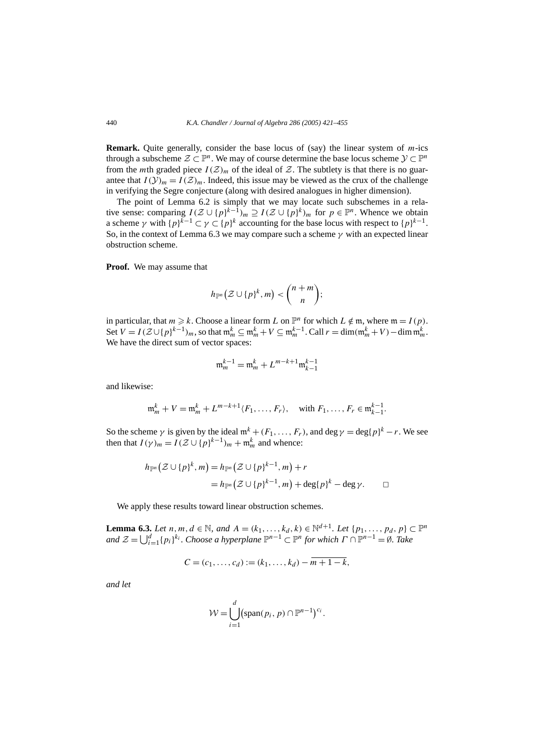**Remark.** Quite generally, consider the base locus of (say) the linear system of *m*-ics through a subscheme  $\mathcal{Z} \subset \mathbb{P}^n$ . We may of course determine the base locus scheme  $\mathcal{Y} \subset \mathbb{P}^n$ from the *m*th graded piece  $I(\mathcal{Z})_m$  of the ideal of  $\mathcal{Z}$ . The subtlety is that there is no guarantee that  $I(\mathcal{Y})_m = I(\mathcal{Z})_m$ . Indeed, this issue may be viewed as the crux of the challenge in verifying the Segre conjecture (along with desired analogues in higher dimension).

The point of Lemma 6.2 is simply that we may locate such subschemes in a relative sense: comparing  $I(Z \cup \{p\}^{k-1})_m \supseteq I(Z \cup \{p\}^k)_m$  for  $p \in \mathbb{P}^n$ . Whence we obtain a scheme *γ* with  ${p}^{k-1} \subset \gamma \subset {p}^k$  accounting for the base locus with respect to  ${p}^{k-1}$ . So, in the context of Lemma 6.3 we may compare such a scheme *γ* with an expected linear obstruction scheme.

**Proof.** We may assume that

$$
h_{\mathbb{P}^n}\big(\mathcal{Z}\cup\{p\}^k,m\big)<\binom{n+m}{n};
$$

in particular, that  $m \ge k$ . Choose a linear form *L* on  $\mathbb{P}^n$  for which  $L \notin \mathfrak{m}$ , where  $\mathfrak{m} = I(p)$ . Set  $V = I(\mathcal{Z} \cup \{p\}^{k-1})_m$ , so that  $\mathfrak{m}_m^k \subseteq \mathfrak{m}_m^k + V \subseteq \mathfrak{m}_m^{k-1}$ . Call  $r = \dim(\mathfrak{m}_m^k + V) - \dim \mathfrak{m}_m^k$ . We have the direct sum of vector spaces:

$$
\mathfrak{m}_m^{k-1} = \mathfrak{m}_m^k + L^{m-k+1} \mathfrak{m}_{k-1}^{k-1}
$$

and likewise:

$$
\mathfrak{m}_m^k + V = \mathfrak{m}_m^k + L^{m-k+1} \langle F_1, \dots, F_r \rangle, \quad \text{with } F_1, \dots, F_r \in \mathfrak{m}_{k-1}^{k-1}.
$$

So the scheme  $\gamma$  is given by the ideal  $m^k + (F_1, \ldots, F_r)$ , and deg  $\gamma = \deg\{p\}^k - r$ . We see then that  $I(\gamma)_m = I(\mathcal{Z} \cup \{p\}^{k-1})_m + \mathfrak{m}_m^k$  and whence:

$$
h_{\mathbb{P}^n}(\mathcal{Z}\cup\{p\}^k,m)=h_{\mathbb{P}^n}(\mathcal{Z}\cup\{p\}^{k-1},m)+r
$$
  
=
$$
h_{\mathbb{P}^n}(\mathcal{Z}\cup\{p\}^{k-1},m)+\deg\{p\}^k-\deg\gamma.
$$

We apply these results toward linear obstruction schemes.

**Lemma 6.3.** *Let n, m, d* ∈  $\mathbb N$ *, and A* = ( $k_1, ..., k_d, k$ ) ∈  $\mathbb N^{d+1}$ *. Let* { $p_1, ..., p_d, p$ } ⊂  $\mathbb P^n$ *and*  $\mathcal{Z} = \bigcup_{i=1}^{d} \{p_i\}^{k_i}$ . Choose a hyperplane  $\mathbb{P}^{n-1} \subset \mathbb{P}^n$  for which  $\Gamma \cap \mathbb{P}^{n-1} = \emptyset$ . Take

$$
C = (c_1, \ldots, c_d) := (k_1, \ldots, k_d) - \overline{m+1-k},
$$

*and let*

$$
\mathcal{W} = \bigcup_{i=1}^d (\text{span}(p_i, p) \cap \mathbb{P}^{n-1})^{c_i}.
$$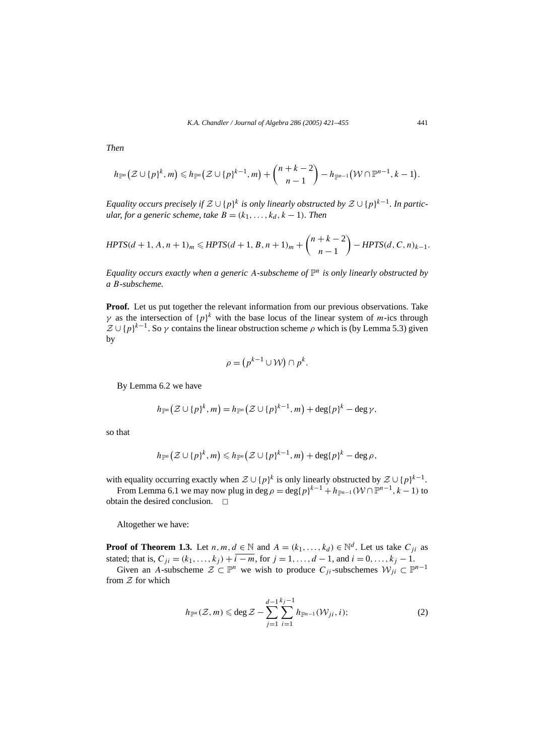*Then*

$$
h_{\mathbb{P}^n}\big(\mathcal{Z}\cup\{p\}^k,m\big)\leqslant h_{\mathbb{P}^n}\big(\mathcal{Z}\cup\{p\}^{k-1},m\big)+\binom{n+k-2}{n-1}-h_{\mathbb{P}^{n-1}}\big(\mathcal{W}\cap\mathbb{P}^{n-1},k-1\big).
$$

*Equality occurs precisely if*  $\mathcal{Z} \cup \{p\}^k$  *is only linearly obstructed by*  $\mathcal{Z} \cup \{p\}^{k-1}$ *. In particular, for a generic scheme, take*  $B = (k_1, \ldots, k_d, k - 1)$ *. Then* 

$$
HPTS(d+1, A, n+1)m \leq HPTS(d+1, B, n+1)m + {n+k-2 \choose n-1} - HPTS(d, C, n)k-1.
$$

*Equality occurs exactly when a generic A-subscheme of*  $\mathbb{P}^n$  *is only linearly obstructed by a B-subscheme.*

**Proof.** Let us put together the relevant information from our previous observations. Take *γ* as the intersection of  ${p}^k$  with the base locus of the linear system of *m*-ics through  $Z \cup \{p\}^{k-1}$ . So  $\gamma$  contains the linear obstruction scheme  $\rho$  which is (by Lemma 5.3) given by

$$
\rho = (p^{k-1} \cup \mathcal{W}) \cap p^k.
$$

By Lemma 6.2 we have

$$
h_{\mathbb{P}^n}(\mathcal{Z}\cup\{p\}^k,m)=h_{\mathbb{P}^n}(\mathcal{Z}\cup\{p\}^{k-1},m)+\deg\{p\}^k-\deg\gamma,
$$

so that

$$
h_{\mathbb{P}^n}\big(\mathcal{Z}\cup\{p\}^k,m\big)\leqslant h_{\mathbb{P}^n}\big(\mathcal{Z}\cup\{p\}^{k-1},m\big)+\deg\{p\}^k-\deg\rho,
$$

with equality occurring exactly when  $\mathcal{Z} \cup \{p\}^k$  is only linearly obstructed by  $\mathcal{Z} \cup \{p\}^{k-1}$ .

From Lemma 6.1 we may now plug in deg  $\rho = \deg\{p\}^{k-1} + h_{\mathbb{P}^{n-1}}(\mathcal{W} \cap \mathbb{P}^{n-1}, k-1)$  to tain the desired conclusion obtain the desired conclusion.

Altogether we have:

**Proof of Theorem 1.3.** Let *n, m, d*  $\in \mathbb{N}$  and  $A = (k_1, \ldots, k_d) \in \mathbb{N}^d$ . Let us take  $C_{ji}$  as stated; that is,  $C_{ji} = (k_1, \ldots, k_j) + i - m$ , for  $j = 1, \ldots, d - 1$ , and  $i = 0, \ldots, k_j - 1$ .

Given an *A*-subscheme  $\mathcal{Z} \subset \mathbb{P}^n$  we wish to produce  $C_{ji}$ -subschemes  $\mathcal{W}_{ji} \subset \mathbb{P}^{n-1}$ from  $Z$  for which

$$
h_{\mathbb{P}^n}(\mathcal{Z},m) \leqslant \deg \mathcal{Z} - \sum_{j=1}^{d-1} \sum_{i=1}^{k_j-1} h_{\mathbb{P}^{n-1}}(\mathcal{W}_{ji},i); \tag{2}
$$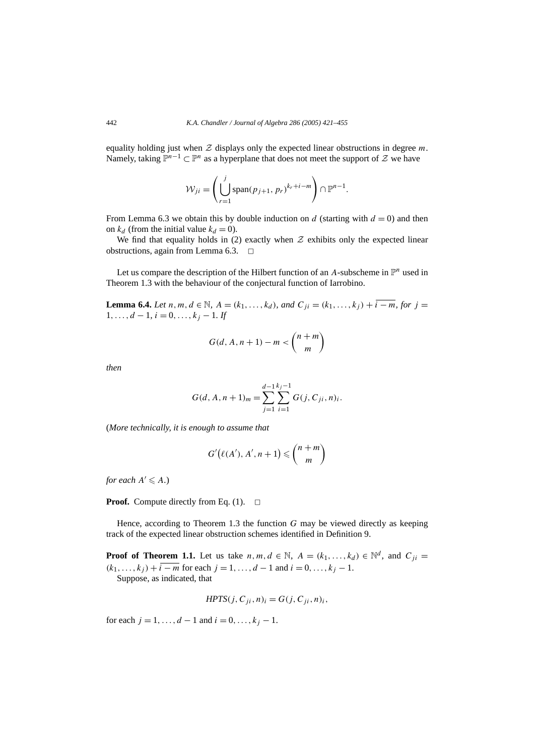equality holding just when  $Z$  displays only the expected linear obstructions in degree  $m$ . Namely, taking  $\mathbb{P}^{n-1} \subset \mathbb{P}^n$  as a hyperplane that does not meet the support of  $\mathcal Z$  we have

$$
\mathcal{W}_{ji} = \left(\bigcup_{r=1}^{j} \operatorname{span}(p_{j+1}, p_r)^{k_r + i - m}\right) \cap \mathbb{P}^{n-1}.
$$

From Lemma 6.3 we obtain this by double induction on  $d$  (starting with  $d = 0$ ) and then on  $k_d$  (from the initial value  $k_d = 0$ ).

We find that equality holds in (2) exactly when  $Z$  exhibits only the expected linear obstructions, again from Lemma 6.3.  $\Box$ 

Let us compare the description of the Hilbert function of an  $A$ -subscheme in  $\mathbb{P}^n$  used in Theorem 1.3 with the behaviour of the conjectural function of Iarrobino.

**Lemma 6.4.** *Let n, m, d* ∈  $\mathbb N$ *, A* =  $(k_1, ..., k_d)$ *, and*  $C_{ii} = (k_1, ..., k_i) + i - m$ *, for i* =  $1, \ldots, d-1, i = 0, \ldots, k_i - 1$ . If

$$
G(d, A, n+1) - m < \binom{n+m}{m}
$$

*then*

$$
G(d, A, n + 1)m = \sum_{j=1}^{d-1} \sum_{i=1}^{k_j-1} G(j, C_{ji}, n)i.
$$

(*More technically, it is enough to assume that*

$$
G'(\ell(A'), A', n+1) \leq {n+m \choose m}
$$

*for each*  $A' \leq A$ *.*)

**Proof.** Compute directly from Eq. (1).  $\Box$ 

Hence, according to Theorem 1.3 the function *G* may be viewed directly as keeping track of the expected linear obstruction schemes identified in Definition 9.

**Proof of Theorem 1.1.** Let us take  $n, m, d \in \mathbb{N}$ ,  $A = (k_1, \ldots, k_d) \in \mathbb{N}^d$ , and  $C_{ji} =$  $(k_1, \ldots, k_i) + i = m$  for each  $j = 1, \ldots, d - 1$  and  $i = 0, \ldots, k_i - 1$ .

Suppose, as indicated, that

$$
HPTS(j, C_{ji}, n)_i = G(j, C_{ji}, n)_i,
$$

for each  $j = 1, ..., d - 1$  and  $i = 0, ..., k_j - 1$ .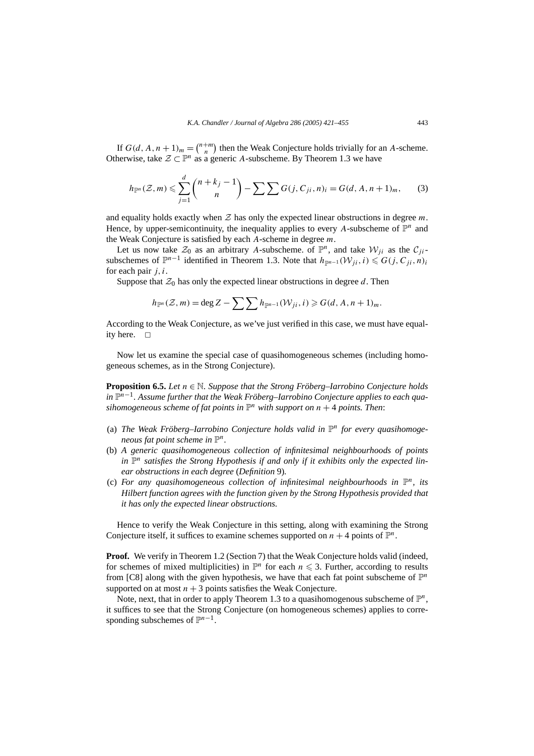If  $G(d, A, n + 1)<sub>m</sub> = {n+m \choose n}$  then the Weak Conjecture holds trivially for an *A*-scheme. Otherwise, take  $\mathcal{Z} \subset \mathbb{P}^n$  as a generic *A*-subscheme. By Theorem 1.3 we have

$$
h_{\mathbb{P}^n}(\mathcal{Z}, m) \leq \sum_{j=1}^d {n+k_j-1 \choose n} - \sum_{i} \sum_{j} G(j, C_{ji}, n)_i = G(d, A, n+1)_m, \qquad (3)
$$

and equality holds exactly when  $\mathcal Z$  has only the expected linear obstructions in degree  $m$ . Hence, by upper-semicontinuity, the inequality applies to every A-subscheme of  $\mathbb{P}^n$  and the Weak Conjecture is satisfied by each *A*-scheme in degree *m*.

Let us now take  $\mathcal{Z}_0$  as an arbitrary A-subscheme. of  $\mathbb{P}^n$ , and take  $\mathcal{W}_{ii}$  as the  $\mathcal{C}_{ii}$ subschemes of  $\mathbb{P}^{n-1}$  identified in Theorem 1.3. Note that  $h_{\mathbb{P}^{n-1}}(W_{ji}, i) \leq G(j, C_{ji}, n)$ i for each pair *j, i*.

Suppose that  $\mathcal{Z}_0$  has only the expected linear obstructions in degree  $d$ . Then

$$
h_{\mathbb{P}^n}(\mathcal{Z},m) = \deg Z - \sum \sum h_{\mathbb{P}^{n-1}}(\mathcal{W}_{ji},i) \geqslant G(d,A,n+1)_m.
$$

According to the Weak Conjecture, as we've just verified in this case, we must have equality here.  $\square$ 

Now let us examine the special case of quasihomogeneous schemes (including homogeneous schemes, as in the Strong Conjecture).

**Proposition 6.5.** *Let n* ∈ N*. Suppose that the Strong Fröberg–Iarrobino Conjecture holds in* P*n*−1*. Assume further that the Weak Fröberg–Iarrobino Conjecture applies to each quasihomogeneous scheme of fat points in*  $\mathbb{P}^n$  *with support on*  $n + 4$  *points. Then:* 

- (a) *The Weak Fröberg–Iarrobino Conjecture holds valid in* P*<sup>n</sup> for every quasihomogeneous fat point scheme in*  $\mathbb{P}^n$ *.*
- (b) *A generic quasihomogeneous collection of infinitesimal neighbourhoods of points* in  $\mathbb{P}^n$  *satisfies the Strong Hypothesis if and only if it exhibits only the expected linear obstructions in each degree* (*Definition* 9)*.*
- (c) *For any quasihomogeneous collection of infinitesimal neighbourhoods in*  $\mathbb{P}^n$ *, its Hilbert function agrees with the function given by the Strong Hypothesis provided that it has only the expected linear obstructions.*

Hence to verify the Weak Conjecture in this setting, along with examining the Strong Conjecture itself, it suffices to examine schemes supported on  $n + 4$  points of  $\mathbb{P}^n$ .

**Proof.** We verify in Theorem 1.2 (Section 7) that the Weak Conjecture holds valid (indeed, for schemes of mixed multiplicities) in  $\mathbb{P}^n$  for each  $n \leq 3$ . Further, according to results from [C8] along with the given hypothesis, we have that each fat point subscheme of  $\mathbb{P}^n$ supported on at most  $n + 3$  points satisfies the Weak Conjecture.

Note, next, that in order to apply Theorem 1.3 to a quasihomogenous subscheme of  $\mathbb{P}^n$ , it suffices to see that the Strong Conjecture (on homogeneous schemes) applies to corresponding subschemes of  $\mathbb{P}^{n-1}$ .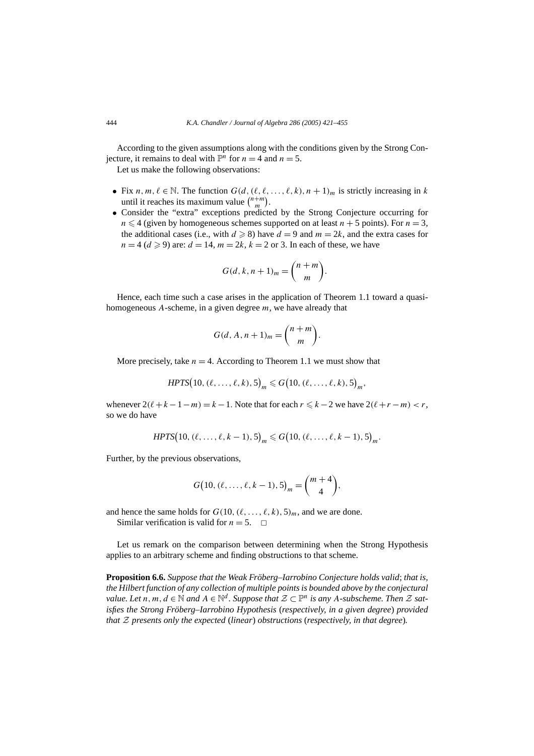According to the given assumptions along with the conditions given by the Strong Conjecture, it remains to deal with  $\mathbb{P}^n$  for  $n = 4$  and  $n = 5$ .

Let us make the following observations:

- Fix  $n, m, \ell \in \mathbb{N}$ . The function  $G(d, (\ell, \ell, \ldots, \ell, k), n + 1)_m$  is strictly increasing in k until it reaches its maximum value  $\binom{n+m}{m}$ .
- Consider the "extra" exceptions predicted by the Strong Conjecture occurring for  $n \leq 4$  (given by homogeneous schemes supported on at least  $n + 5$  points). For  $n = 3$ , the additional cases (i.e., with  $d \ge 8$ ) have  $d = 9$  and  $m = 2k$ , and the extra cases for  $n = 4$  ( $d \ge 9$ ) are:  $d = 14$ ,  $m = 2k$ ,  $k = 2$  or 3. In each of these, we have

$$
G(d, k, n+1)m = {n+m \choose m}.
$$

Hence, each time such a case arises in the application of Theorem 1.1 toward a quasihomogeneous *A*-scheme, in a given degree *m*, we have already that

$$
G(d, A, n+1)m = {n+m \choose m}.
$$

More precisely, take  $n = 4$ . According to Theorem 1.1 we must show that

$$
HPTS(10, (\ell, \ldots, \ell, k), 5)_m \leq G(10, (\ell, \ldots, \ell, k), 5)_m,
$$

whenever  $2(\ell + k - 1 - m) = k - 1$ . Note that for each  $r \le k - 2$  we have  $2(\ell + r - m) < r$ , so we do have

$$
HPTS(10, (\ell, \ldots, \ell, k-1), 5)_m \le G(10, (\ell, \ldots, \ell, k-1), 5)_m.
$$

Further, by the previous observations,

$$
G(10, (\ell, \ldots, \ell, k-1), 5)_m = \binom{m+4}{4},
$$

and hence the same holds for  $G(10, (\ell, \ldots, \ell, k), 5)_m$ , and we are done.

Similar verification is valid for  $n = 5$ .  $\Box$ 

Let us remark on the comparison between determining when the Strong Hypothesis applies to an arbitrary scheme and finding obstructions to that scheme.

**Proposition 6.6.** *Suppose that the Weak Fröberg–Iarrobino Conjecture holds valid*; *that is, the Hilbert function of any collection of multiple points is bounded above by the conjectural value. Let*  $n, m, d \in \mathbb{N}$  and  $A \in \mathbb{N}^d$ . Suppose that  $\mathcal{Z} \subset \mathbb{P}^n$  is any A-subscheme. Then  $\mathcal{Z}$  sat*isfies the Strong Fröberg–Iarrobino Hypothesis* (*respectively, in a given degree*) *provided that* Z *presents only the expected* (*linear*) *obstructions* (*respectively, in that degree*)*.*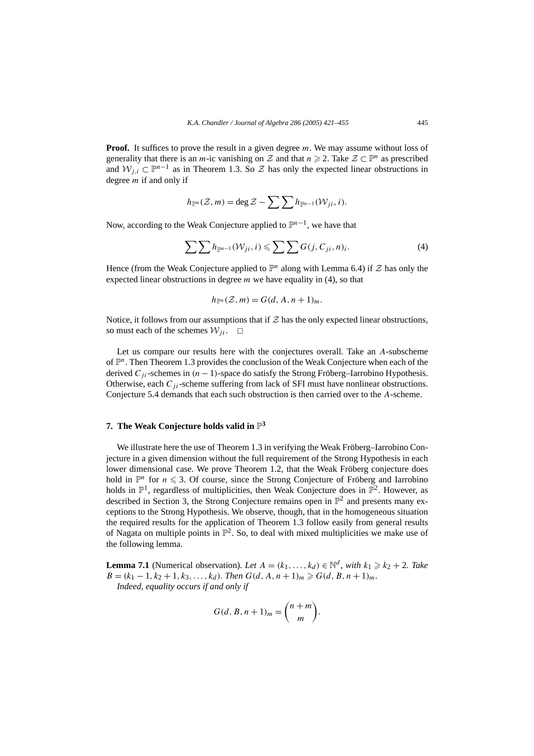**Proof.** It suffices to prove the result in a given degree m. We may assume without loss of generality that there is an *m*-ic vanishing on Z and that  $n \ge 2$ . Take  $\mathcal{Z} \subset \mathbb{P}^n$  as prescribed and  $W_i$ ,  $\subset \mathbb{P}^{n-1}$  as in Theorem 1.3. So  $\mathcal Z$  has only the expected linear obstructions in degree *m* if and only if

$$
h_{\mathbb{P}^n}(\mathcal{Z},m) = \deg \mathcal{Z} - \sum \sum h_{\mathbb{P}^{n-1}}(\mathcal{W}_{ji},i).
$$

Now, according to the Weak Conjecture applied to P*n*<sup>−</sup>1, we have that

$$
\sum \sum h_{\mathbb{P}^{n-1}}(\mathcal{W}_{ji},i) \leqslant \sum \sum G(j,C_{ji},n)_i.
$$
 (4)

Hence (from the Weak Conjecture applied to  $\mathbb{P}^n$  along with Lemma 6.4) if  $\mathcal Z$  has only the expected linear obstructions in degree *m* we have equality in (4), so that

$$
h_{\mathbb{P}^n}(\mathcal{Z},m) = G(d,A,n+1)_m.
$$

Notice, it follows from our assumptions that if  $Z$  has the only expected linear obstructions, so must each of the schemes  $W_{ii}$ .  $\Box$ 

Let us compare our results here with the conjectures overall. Take an *A*-subscheme of P*n*. Then Theorem 1.3 provides the conclusion of the Weak Conjecture when each of the derived  $C_{ij}$ -schemes in  $(n-1)$ -space do satisfy the Strong Fröberg–Iarrobino Hypothesis. Otherwise, each *Cj i*-scheme suffering from lack of SFI must have nonlinear obstructions. Conjecture 5.4 demands that each such obstruction is then carried over to the *A*-scheme.

# **7.** The Weak Conjecture holds valid in  $\mathbb{P}^3$

We illustrate here the use of Theorem 1.3 in verifying the Weak Fröberg–Iarrobino Conjecture in a given dimension without the full requirement of the Strong Hypothesis in each lower dimensional case. We prove Theorem 1.2, that the Weak Fröberg conjecture does hold in  $\mathbb{P}^n$  for  $n \leq 3$ . Of course, since the Strong Conjecture of Fröberg and Iarrobino holds in  $\mathbb{P}^1$ , regardless of multiplicities, then Weak Conjecture does in  $\mathbb{P}^2$ . However, as described in Section 3, the Strong Conjecture remains open in  $\mathbb{P}^2$  and presents many exceptions to the Strong Hypothesis. We observe, though, that in the homogeneous situation the required results for the application of Theorem 1.3 follow easily from general results of Nagata on multiple points in  $\mathbb{P}^2$ . So, to deal with mixed multiplicities we make use of the following lemma.

**Lemma 7.1** (Numerical observation). Let  $A = (k_1, \ldots, k_d) \in \mathbb{N}^d$ , with  $k_1 \geq k_2 + 2$ . Take  $B = (k_1 - 1, k_2 + 1, k_3, \ldots, k_d)$ *. Then*  $G(d, A, n + 1)_m \ge G(d, B, n + 1)_m$ *.* 

*Indeed, equality occurs if and only if*

$$
G(d, B, n+1)m = {n+m \choose m}.
$$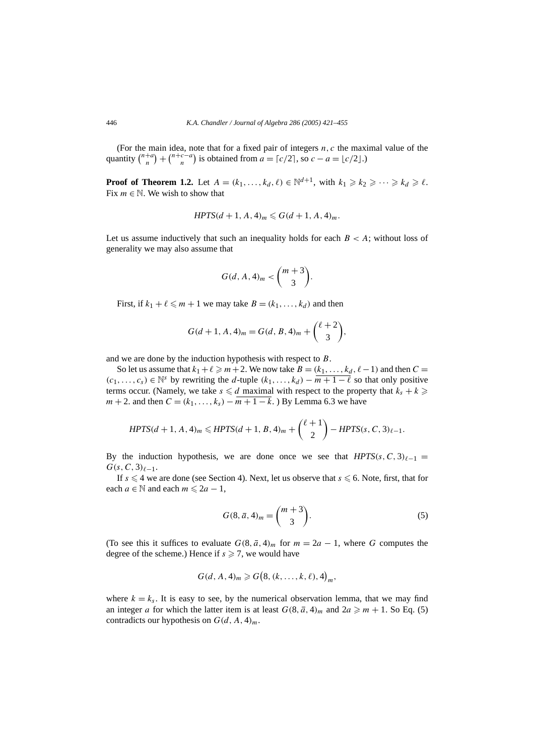(For the main idea, note that for a fixed pair of integers *n, c* the maximal value of the quantity  $\binom{n+a}{n} + \binom{n+c-a}{n}$  is obtained from  $a = \lfloor c/2 \rfloor$ , so  $c - a = \lfloor c/2 \rfloor$ .)

**Proof of Theorem 1.2.** Let  $A = (k_1, \ldots, k_d, \ell) \in \mathbb{N}^{d+1}$ , with  $k_1 \geq k_2 \geq \cdots \geq k_d \geq \ell$ . Fix  $m \in \mathbb{N}$ . We wish to show that

$$
HPTS(d+1, A, 4)_m \le G(d+1, A, 4)_m.
$$

Let us assume inductively that such an inequality holds for each  $B < A$ ; without loss of generality we may also assume that

$$
G(d, A, 4)_m < \binom{m+3}{3}.
$$

First, if  $k_1 + \ell \leq m + 1$  we may take  $B = (k_1, \ldots, k_d)$  and then

$$
G(d + 1, A, 4)m = G(d, B, 4)m + {\ell + 2 \choose 3},
$$

and we are done by the induction hypothesis with respect to *B*.

So let us assume that  $k_1 + \ell \geq m+2$ . We now take  $B = (k_1, \ldots, k_d, \ell - 1)$  and then  $C =$  $(c_1, \ldots, c_s)$  ∈ N<sup>s</sup> by rewriting the *d*-tuple  $(k_1, \ldots, k_d)$  −  $\overline{m+1-\ell}$  so that only positive terms occur. (Namely, we take  $s \le d$  maximal with respect to the property that  $k_s + k \ge d$ *m* + 2. and then  $C = (k_1, ..., k_s) - m + 1 - k$ . ) By Lemma 6.3 we have

$$
HPTS(d+1, A, 4)_m \leq HPTS(d+1, B, 4)_m + {\ell+1 \choose 2} - HPTS(s, C, 3)_{\ell-1}.
$$

By the induction hypothesis, we are done once we see that  $HPTS(s, C, 3)\ell-1$  $G(s, C, 3)_{\ell-1}$ .

If  $s \leq 4$  we are done (see Section 4). Next, let us observe that  $s \leq 6$ . Note, first, that for each  $a \in \mathbb{N}$  and each  $m \leq 2a - 1$ ,

$$
G(8, \bar{a}, 4)m = {m+3 \choose 3}.
$$
 (5)

(To see this it suffices to evaluate  $G(8, \bar{a}, 4)_m$  for  $m = 2a - 1$ , where G computes the degree of the scheme.) Hence if  $s \ge 7$ , we would have

$$
G(d, A, 4)_m \geq G\big(8, (k, \ldots, k, \ell), 4\big)_m,
$$

where  $k = k_s$ . It is easy to see, by the numerical observation lemma, that we may find an integer *a* for which the latter item is at least  $G(8, \bar{a}, 4)_m$  and  $2a \ge m + 1$ . So Eq. (5) contradicts our hypothesis on  $G(d, A, 4)<sub>m</sub>$ .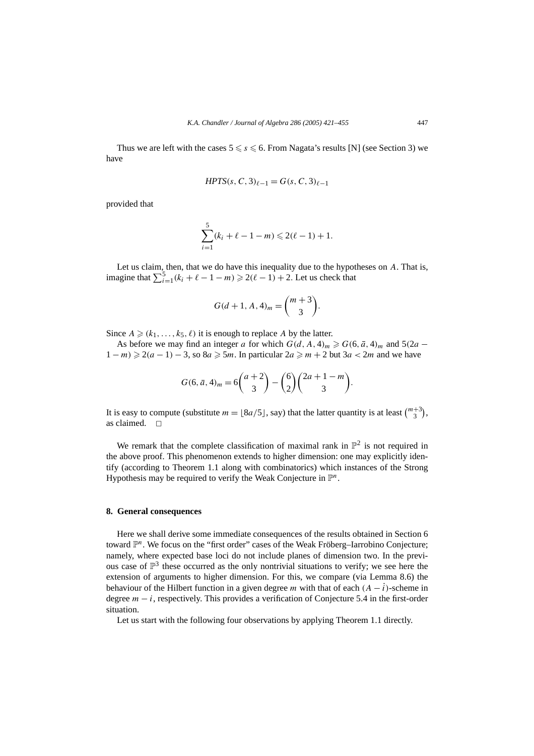Thus we are left with the cases  $5 \le s \le 6$ . From Nagata's results [N] (see Section 3) we have

$$
HPTS(s, C, 3)_{\ell-1} = G(s, C, 3)_{\ell-1}
$$

provided that

$$
\sum_{i=1}^{5} (k_i + \ell - 1 - m) \leq 2(\ell - 1) + 1.
$$

Let us claim, then, that we do have this inequality due to the hypotheses on *A*. That is, imagine that  $\sum_{i=1}^{5} (k_i + \ell - 1 - m)$  ≥ 2 $(\ell - 1) + 2$ . Let us check that

$$
G(d+1, A, 4)m = {m+3 \choose 3}.
$$

Since  $A \geq (k_1, \ldots, k_5, \ell)$  it is enough to replace A by the latter.

As before we may find an integer *a* for which  $G(d, A, 4)_m \ge G(6, \bar{a}, 4)_m$  and  $5(2a 1 - m$  ≥ 2(*a* − 1) − 3, so 8*a* ≥ 5*m*. In particular 2*a* ≥ *m* + 2 but 3*a* < 2*m* and we have

$$
G(6, \bar{a}, 4)_m = 6\binom{a+2}{3} - \binom{6}{2}\binom{2a+1-m}{3}.
$$

It is easy to compute (substitute  $m = \lfloor 8a/5 \rfloor$ , say) that the latter quantity is at least  $\binom{m+3}{3}$ , as claimed.  $\Box$ 

We remark that the complete classification of maximal rank in  $\mathbb{P}^2$  is not required in the above proof. This phenomenon extends to higher dimension: one may explicitly identify (according to Theorem 1.1 along with combinatorics) which instances of the Strong Hypothesis may be required to verify the Weak Conjecture in P*n*.

#### **8. General consequences**

Here we shall derive some immediate consequences of the results obtained in Section 6 toward P*n*. We focus on the "first order" cases of the Weak Fröberg–Iarrobino Conjecture; namely, where expected base loci do not include planes of dimension two. In the previous case of  $\mathbb{P}^3$  these occurred as the only nontrivial situations to verify; we see here the extension of arguments to higher dimension. For this, we compare (via Lemma 8.6) the behaviour of the Hilbert function in a given degree *m* with that of each  $(A - i)$ -scheme in degree  $m - i$ , respectively. This provides a verification of Conjecture 5.4 in the first-order situation.

Let us start with the following four observations by applying Theorem 1.1 directly.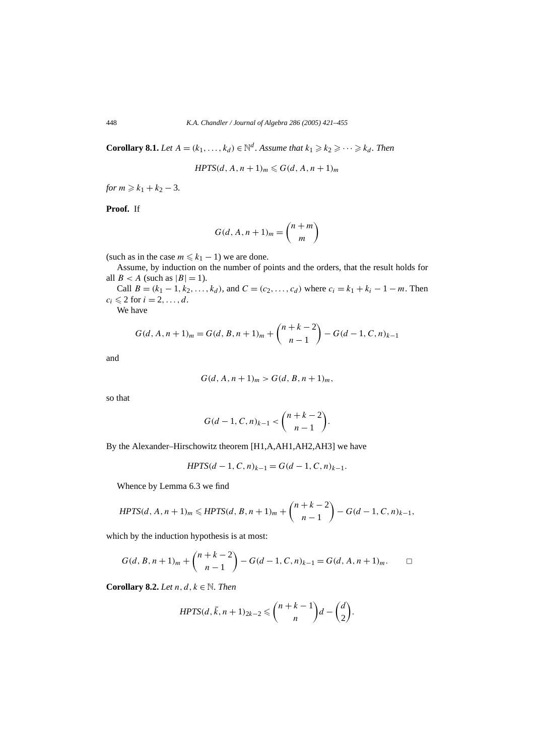**Corollary 8.1.** *Let*  $A = (k_1, ..., k_d) \in \mathbb{N}^d$ . Assume that  $k_1 \geq k_2 \geq \cdots \geq k_d$ . Then

*HPTS* $(d, A, n + 1)$ <sup>*m*</sup>  $\leq G(d, A, n + 1)$ <sup>*m*</sup>

*for*  $m \ge k_1 + k_2 - 3$ .

**Proof.** If

$$
G(d, A, n+1)m = {n+m \choose m}
$$

(such as in the case  $m \leq k_1 - 1$ ) we are done.

Assume, by induction on the number of points and the orders, that the result holds for all  $B < A$  (such as  $|B| = 1$ ).

Call *B* =  $(k_1 - 1, k_2, ..., k_d)$ , and *C* =  $(c_2, ..., c_d)$  where  $c_i = k_1 + k_i - 1 - m$ . Then  $c_i \leqslant 2$  for  $i = 2, \ldots, d$ .

We have

$$
G(d, A, n+1)m = G(d, B, n+1)m + {n+k-2 \choose n-1} - G(d-1, C, n)k-1
$$

and

$$
G(d, A, n+1)m > G(d, B, n+1)m,
$$

so that

$$
G(d-1, C, n)_{k-1} < {n+k-2 \choose n-1}.
$$

By the Alexander–Hirschowitz theorem [H1,A,AH1,AH2,AH3] we have

$$
HPTS(d-1, C, n)_{k-1} = G(d-1, C, n)_{k-1}.
$$

Whence by Lemma 6.3 we find

$$
HPTS(d, A, n+1)m \leq HPTS(d, B, n+1)m + {n+k-2 \choose n-1} - G(d-1, C, n)k-1,
$$

which by the induction hypothesis is at most:

$$
G(d, B, n+1)m + {n+k-2 \choose n-1} - G(d-1, C, n)k-1 = G(d, A, n+1)m.
$$

**Corollary 8.2.** *Let*  $n, d, k \in \mathbb{N}$ . *Then* 

$$
HPTS(d, \bar{k}, n+1)_{2k-2} \leq {n+k-1 \choose n}d-{d \choose 2}.
$$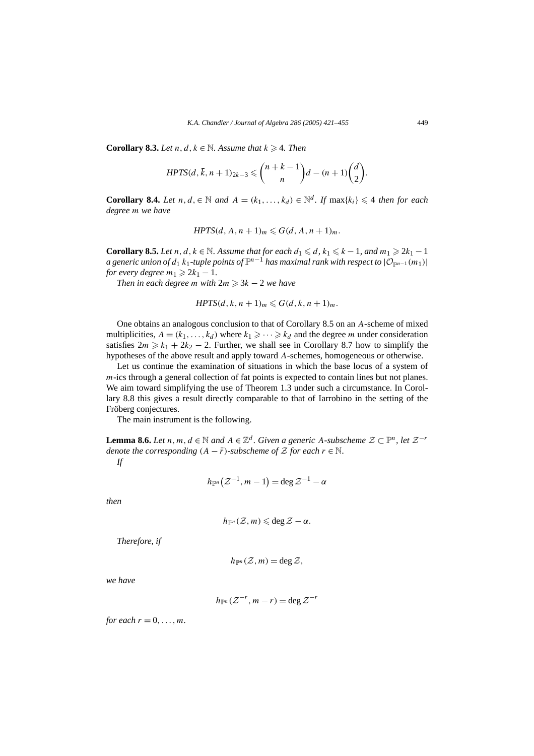**Corollary 8.3.** *Let*  $n, d, k \in \mathbb{N}$ . Assume that  $k \ge 4$ . Then

$$
HPTS(d,\overline{k},n+1)_{2k-3}\leq {n+k-1 \choose n}d-(n+1){d \choose 2}.
$$

**Corollary 8.4.** *Let n, d,*∈  $\mathbb N$  *and*  $A = (k_1, ..., k_d) \in \mathbb N^d$ . *If* max{ $k_i$ } ≤ 4 *then for each degree m we have*

$$
HPTS(d, A, n+1)m \leq G(d, A, n+1)m.
$$

**Corollary 8.5.** *Let*  $n, d, k \in \mathbb{N}$ . Assume that for each  $d_1 \leq d, k_1 \leq k - 1$ , and  $m_1 \geq 2k_1 - 1$ *a generic union of d*<sub>1</sub> *k*<sub>1</sub>*-tuple points of*  $\mathbb{P}^{n-1}$  *has maximal rank with respect to*  $|\mathcal{O}_{\mathbb{P}^{n-1}}(m_1)|$ *for every degree*  $m_1 \geqslant 2k_1 - 1$ .

*Then in each degree m with*  $2m \geqslant 3k - 2$  *we have* 

$$
HPTS(d, k, n+1)_m \leqslant G(d, k, n+1)_m.
$$

One obtains an analogous conclusion to that of Corollary 8.5 on an *A*-scheme of mixed multiplicities,  $A = (k_1, \ldots, k_d)$  where  $k_1 \geq \cdots \geq k_d$  and the degree *m* under consideration satisfies  $2m \geq k_1 + 2k_2 - 2$ . Further, we shall see in Corollary 8.7 how to simplify the hypotheses of the above result and apply toward *A*-schemes, homogeneous or otherwise.

Let us continue the examination of situations in which the base locus of a system of *m*-ics through a general collection of fat points is expected to contain lines but not planes. We aim toward simplifying the use of Theorem 1.3 under such a circumstance. In Corollary 8.8 this gives a result directly comparable to that of Iarrobino in the setting of the Fröberg conjectures.

The main instrument is the following.

**Lemma 8.6.** *Let n, m, d* ∈  $\mathbb N$  *and*  $A \in \mathbb Z^d$ . Given a generic A-subscheme  $\mathcal Z \subset \mathbb P^n$ , let  $\mathcal Z^{-r}$ *denote the corresponding*  $(A - \overline{r})$ *-subscheme of* Z *for each*  $r \in \mathbb{N}$ *. If*

$$
h_{\mathbb{P}^n}\big(\mathcal{Z}^{-1},m-1\big)=\deg \mathcal{Z}^{-1}-\alpha
$$

*then*

$$
h_{\mathbb{P}^n}(\mathcal{Z},m)\leqslant \deg \mathcal{Z}-\alpha.
$$

*Therefore, if*

$$
h_{\mathbb{P}^n}(\mathcal{Z},m)=\deg \mathcal{Z},
$$

*we have*

$$
h_{\mathbb{P}^n}(\mathcal{Z}^{-r},m-r)=\deg \mathcal{Z}^{-r}
$$

*for each*  $r = 0, \ldots, m$ .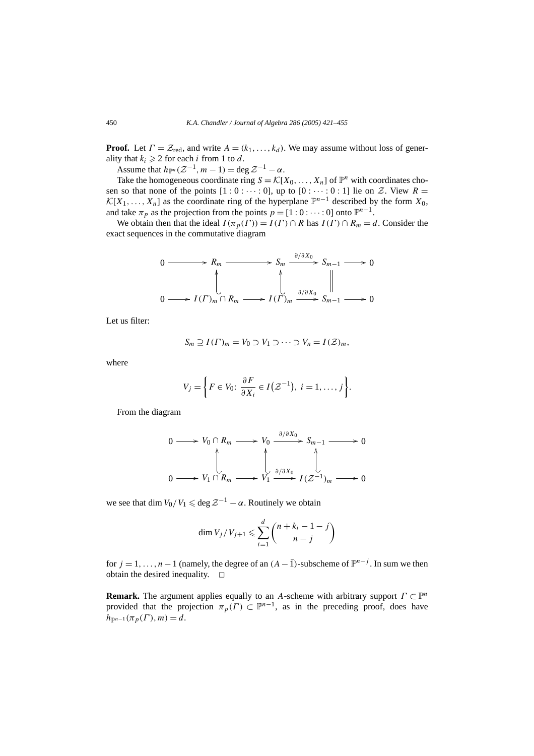**Proof.** Let  $\Gamma = \mathcal{Z}_{\text{red}}$ , and write  $A = (k_1, \ldots, k_d)$ . We may assume without loss of generality that  $k_i \geq 2$  for each *i* from 1 to *d*.

Assume that  $h_{\mathbb{P}^n}(\mathcal{Z}^{-1}, m-1) = \deg \mathcal{Z}^{-1} - \alpha$ .

Take the homogeneous coordinate ring  $S = \mathcal{K}[X_0, \ldots, X_n]$  of  $\mathbb{P}^n$  with coordinates chosen so that none of the points  $[1:0:\cdots:0]$ , up to  $[0:\cdots:0:1]$  lie on Z. View  $R=$  $\mathcal{K}[X_1,\ldots,X_n]$  as the coordinate ring of the hyperplane  $\mathbb{P}^{n-1}$  described by the form  $X_0$ , and take  $\pi_p$  as the projection from the points  $p = [1 : 0 : \cdots : 0]$  onto  $\mathbb{P}^{n-1}$ .

We obtain then that the ideal  $I(\pi_p(\Gamma)) = I(\Gamma) \cap R$  has  $I(\Gamma) \cap R_m = d$ . Consider the exact sequences in the commutative diagram

$$
0 \longrightarrow R_m \longrightarrow S_m \xrightarrow{\partial/\partial X_0} S_{m-1} \longrightarrow 0
$$
  

$$
\downarrow \qquad \qquad \downarrow
$$
  

$$
0 \longrightarrow I(\Gamma)_m \cap R_m \longrightarrow I(\Gamma)_m \xrightarrow{\partial/\partial X_0} S_{m-1} \longrightarrow 0
$$

Let us filter:

$$
S_m \supseteq I(\Gamma)_m = V_0 \supset V_1 \supset \cdots \supset V_n = I(\mathcal{Z})_m,
$$

where

$$
V_j = \left\{ F \in V_0: \frac{\partial F}{\partial X_i} \in I(\mathcal{Z}^{-1}), i = 1, \ldots, j \right\}.
$$

From the diagram

$$
0 \longrightarrow V_0 \cap R_m \longrightarrow V_0 \xrightarrow{\partial/\partial X_0} S_{m-1} \longrightarrow 0
$$
  

$$
0 \longrightarrow V_1 \cap R_m \longrightarrow V_1 \xrightarrow{\partial/\partial X_0} I(\mathcal{Z}^{-1})_m \longrightarrow 0
$$

we see that dim  $V_0/V_1 \leq \deg \mathcal{Z}^{-1} - \alpha$ . Routinely we obtain

$$
\dim V_j/V_{j+1} \leqslant \sum_{i=1}^d {n+k_i-1-j \choose n-j}
$$

for  $j = 1, ..., n-1$  (namely, the degree of an  $(A - \overline{1})$ -subscheme of  $\mathbb{P}^{n-j}$ . In sum we then obtain the desired inequality.  $\square$ 

**Remark.** The argument applies equally to an *A*-scheme with arbitrary support  $\Gamma \subset \mathbb{P}^n$ provided that the projection  $\pi_p(\Gamma) \subset \mathbb{P}^{n-1}$ , as in the preceding proof, does have  $h_{\mathbb{P}^{n-1}}(\pi_p(\Gamma), m) = d.$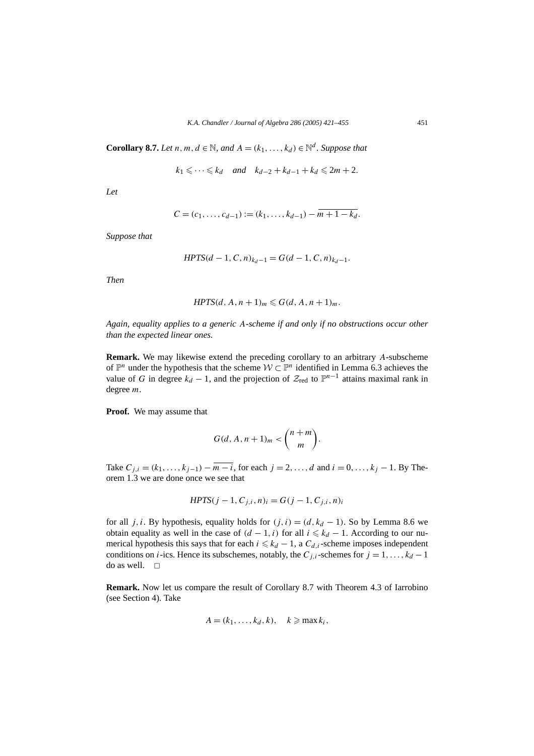**Corollary 8.7.** *Let*  $n, m, d \in \mathbb{N}$ , and  $A = (k_1, \ldots, k_d) \in \mathbb{N}^d$ . Suppose that

$$
k_1 \leq \cdots \leq k_d
$$
 and  $k_{d-2} + k_{d-1} + k_d \leq 2m + 2$ .

*Let*

$$
C = (c_1, \ldots, c_{d-1}) := (k_1, \ldots, k_{d-1}) - m + 1 - k_d.
$$

*Suppose that*

$$
HPTS(d-1, C, n)_{k_d-1} = G(d-1, C, n)_{k_d-1}.
$$

*Then*

$$
HPTS(d, A, n+1)m \leq G(d, A, n+1)m.
$$

*Again, equality applies to a generic A-scheme if and only if no obstructions occur other than the expected linear ones.*

**Remark.** We may likewise extend the preceding corollary to an arbitrary *A*-subscheme of  $\mathbb{P}^n$  under the hypothesis that the scheme  $W \subset \mathbb{P}^n$  identified in Lemma 6.3 achieves the value of *G* in degree  $k_d - 1$ , and the projection of  $\mathcal{Z}_{\text{red}}$  to  $\mathbb{P}^{n-1}$  attains maximal rank in degree *m*.

**Proof.** We may assume that

$$
G(d, A, n+1)m < {n+m \choose m}.
$$

Take  $C_{j,i} = (k_1, \ldots, k_{j-1}) - \overline{m - i}$ , for each  $j = 2, \ldots, d$  and  $i = 0, \ldots, k_j - 1$ . By Theorem 1.3 we are done once we see that

$$
HPTS(j-1, C_{j,i}, n)_i = G(j-1, C_{j,i}, n)_i
$$

for all *j, i*. By hypothesis, equality holds for  $(j, i) = (d, k_d - 1)$ . So by Lemma 8.6 we obtain equality as well in the case of  $(d - 1, i)$  for all  $i \leq k_d - 1$ . According to our numerical hypothesis this says that for each  $i \leq k_d - 1$ , a  $C_{d,i}$ -scheme imposes independent conditions on *i*-ics. Hence its subschemes, notably, the  $C_{i,i}$ -schemes for  $j = 1, \ldots, k_d - 1$ do as well.  $\square$ 

**Remark.** Now let us compare the result of Corollary 8.7 with Theorem 4.3 of Iarrobino (see Section 4). Take

$$
A=(k_1,\ldots,k_d,k),\quad k\geqslant \max k_i,
$$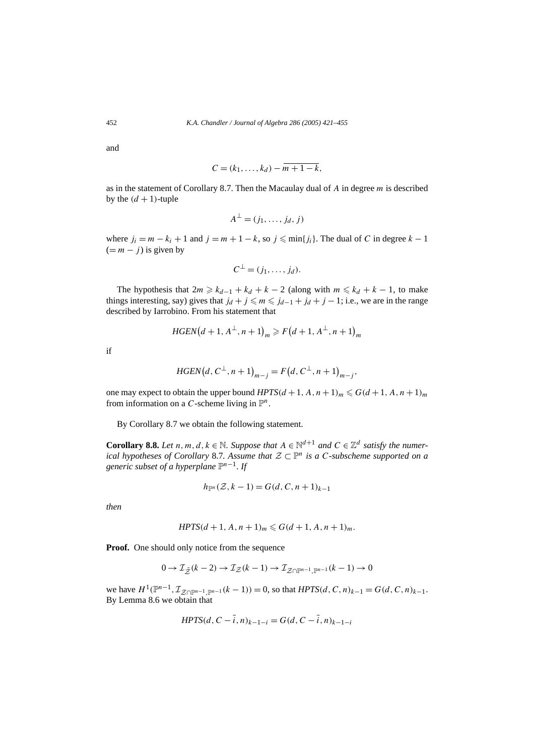and

$$
C=(k_1,\ldots,k_d)-\overline{m+1-k},
$$

as in the statement of Corollary 8.7. Then the Macaulay dual of *A* in degree *m* is described by the  $(d + 1)$ -tuple

$$
A^{\perp}=(j_1,\ldots,j_d,j)
$$

where  $j_i = m - k_i + 1$  and  $j = m + 1 - k$ , so  $j \leqslant \min\{j_i\}$ . The dual of *C* in degree  $k - 1$  $(= m - i)$  is given by

$$
C^{\perp}=(j_1,\ldots,j_d).
$$

The hypothesis that  $2m \geq k_{d-1} + k_d + k - 2$  (along with  $m \leq k_d + k - 1$ , to make things interesting, say) gives that  $j_d + j \leq m \leq j_{d-1} + j_d + j - 1$ ; i.e., we are in the range described by Iarrobino. From his statement that

$$
HGEN(d + 1, A^{\perp}, n + 1)_m \ge F(d + 1, A^{\perp}, n + 1)_m
$$

if

$$
HGEN(d, C^{\perp}, n+1)_{m-j} = F(d, C^{\perp}, n+1)_{m-j},
$$

one may expect to obtain the upper bound *HPTS* $(d+1, A, n+1)<sub>m</sub> \le G(d+1, A, n+1)<sub>m</sub>$ from information on a *C*-scheme living in  $\mathbb{P}^n$ .

By Corollary 8.7 we obtain the following statement.

**Corollary 8.8.** *Let*  $n, m, d, k \in \mathbb{N}$ . Suppose that  $A \in \mathbb{N}^{d+1}$  and  $C \in \mathbb{Z}^d$  satisfy the numer*ical hypotheses of Corollary* 8.7*. Assume that*  $\mathcal{Z} \subset \mathbb{P}^n$  *is a C-subscheme supported on a generic subset of a hyperplane*  $\mathbb{P}^{n-1}$ *. If* 

$$
h_{\mathbb{P}^n}(\mathcal{Z},k-1) = G(d,C,n+1)_{k-1}
$$

*then*

$$
HPTS(d + 1, A, n + 1)m \le G(d + 1, A, n + 1)m.
$$

**Proof.** One should only notice from the sequence

$$
0 \to \mathcal{I}_{\tilde{Z}}(k-2) \to \mathcal{I}_{Z}(k-1) \to \mathcal{I}_{Z \cap \mathbb{P}^{n-1}, \mathbb{P}^{n-1}}(k-1) \to 0
$$

we have  $H^1(\mathbb{P}^{n-1}, \mathcal{I}_{\mathcal{Z}\cap\mathbb{P}^{n-1}} | (k-1)) = 0$ , so that  $HPTS(d, C, n)_{k-1} = G(d, C, n)_{k-1}$ . By Lemma 8.6 we obtain that

$$
HPTS(d, C - \bar{i}, n)_{k-1-i} = G(d, C - \bar{i}, n)_{k-1-i}
$$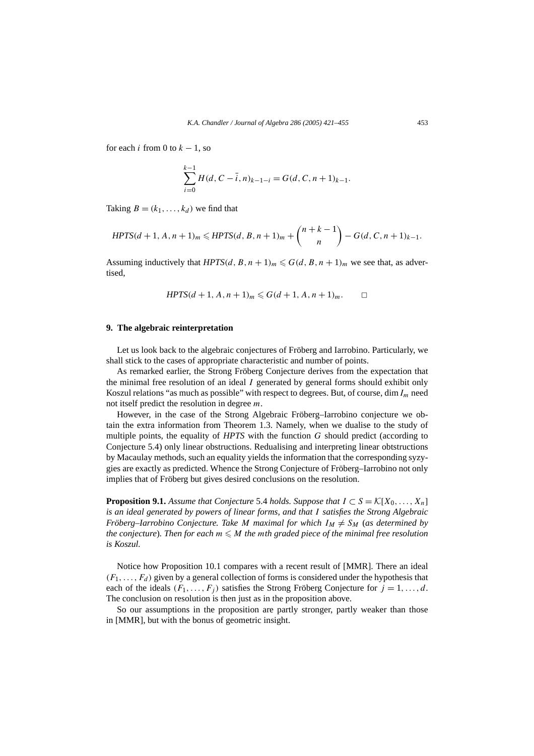for each *i* from 0 to  $k - 1$ , so

$$
\sum_{i=0}^{k-1} H(d, C - \overline{i}, n)_{k-1-i} = G(d, C, n+1)_{k-1}.
$$

Taking  $B = (k_1, \ldots, k_d)$  we find that

$$
HPTS(d+1, A, n+1)m \leq HPTS(d, B, n+1)m + {n+k-1 \choose n} - G(d, C, n+1)k-1.
$$

Assuming inductively that  $HPTS(d, B, n + 1)<sub>m</sub> \le G(d, B, n + 1)<sub>m</sub>$  we see that, as advertised,

$$
HPTS(d+1, A, n+1)m \leq G(d+1, A, n+1)m.
$$

# **9. The algebraic reinterpretation**

Let us look back to the algebraic conjectures of Fröberg and Iarrobino. Particularly, we shall stick to the cases of appropriate characteristic and number of points.

As remarked earlier, the Strong Fröberg Conjecture derives from the expectation that the minimal free resolution of an ideal *I* generated by general forms should exhibit only Koszul relations "as much as possible" with respect to degrees. But, of course, dim*Im* need not itself predict the resolution in degree *m*.

However, in the case of the Strong Algebraic Fröberg–Iarrobino conjecture we obtain the extra information from Theorem 1.3. Namely, when we dualise to the study of multiple points, the equality of *HPTS* with the function *G* should predict (according to Conjecture 5.4) only linear obstructions. Redualising and interpreting linear obtstructions by Macaulay methods, such an equality yields the information that the corresponding syzygies are exactly as predicted. Whence the Strong Conjecture of Fröberg–Iarrobino not only implies that of Fröberg but gives desired conclusions on the resolution.

**Proposition 9.1.** *Assume that Conjecture* 5.4 *holds. Suppose that*  $I \subset S = \mathcal{K}[X_0, \ldots, X_n]$ *is an ideal generated by powers of linear forms, and that I satisfies the Strong Algebraic Fröberg–Iarrobino Conjecture. Take M maximal for which*  $I_M \neq S_M$  (*as determined by the conjecture*). Then for each  $m \leq M$  the mth graded piece of the minimal free resolution *is Koszul.*

Notice how Proposition 10.1 compares with a recent result of [MMR]. There an ideal  $(F_1, \ldots, F_d)$  given by a general collection of forms is considered under the hypothesis that each of the ideals  $(F_1, \ldots, F_j)$  satisfies the Strong Fröberg Conjecture for  $j = 1, \ldots, d$ . The conclusion on resolution is then just as in the proposition above.

So our assumptions in the proposition are partly stronger, partly weaker than those in [MMR], but with the bonus of geometric insight.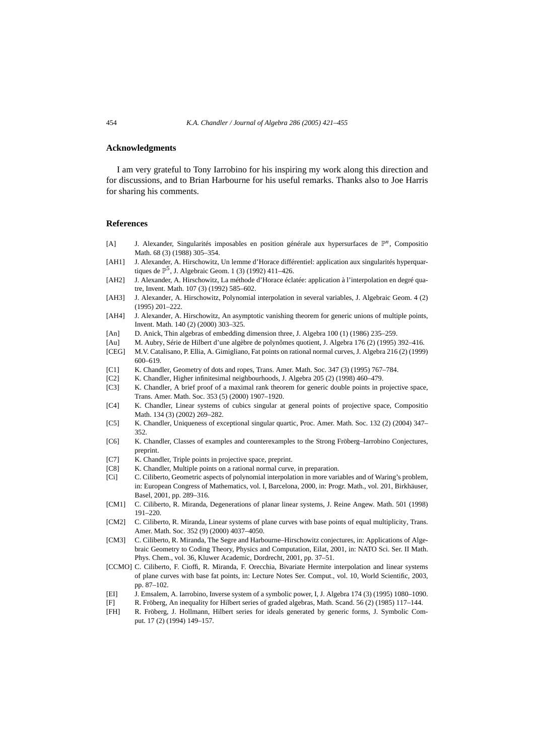# **Acknowledgments**

I am very grateful to Tony Iarrobino for his inspiring my work along this direction and for discussions, and to Brian Harbourne for his useful remarks. Thanks also to Joe Harris for sharing his comments.

# **References**

- [A] J. Alexander, Singularités imposables en position générale aux hypersurfaces de P*n*, Compositio Math. 68 (3) (1988) 305–354.
- [AH1] J. Alexander, A. Hirschowitz, Un lemme d'Horace différentiel: application aux singularités hyperquartiques de  $\mathbb{P}^5$ , J. Algebraic Geom. 1 (3) (1992) 411–426.
- [AH2] J. Alexander, A. Hirschowitz, La méthode d'Horace éclatée: application à l'interpolation en degré quatre, Invent. Math. 107 (3) (1992) 585–602.
- [AH3] J. Alexander, A. Hirschowitz, Polynomial interpolation in several variables, J. Algebraic Geom. 4 (2) (1995) 201–222.
- [AH4] J. Alexander, A. Hirschowitz, An asymptotic vanishing theorem for generic unions of multiple points, Invent. Math. 140 (2) (2000) 303–325.
- [An] D. Anick, Thin algebras of embedding dimension three, J. Algebra 100 (1) (1986) 235–259.
- [Au] M. Aubry, Série de Hilbert d'une algèbre de polynômes quotient, J. Algebra 176 (2) (1995) 392–416.
- [CEG] M.V. Catalisano, P. Ellia, A. Gimigliano, Fat points on rational normal curves, J. Algebra 216 (2) (1999) 600–619.
- [C1] K. Chandler, Geometry of dots and ropes, Trans. Amer. Math. Soc. 347 (3) (1995) 767–784.
- [C2] K. Chandler, Higher infinitesimal neighbourhoods, J. Algebra 205 (2) (1998) 460–479.
- [C3] K. Chandler, A brief proof of a maximal rank theorem for generic double points in projective space, Trans. Amer. Math. Soc. 353 (5) (2000) 1907–1920.
- [C4] K. Chandler, Linear systems of cubics singular at general points of projective space, Compositio Math. 134 (3) (2002) 269–282.
- [C5] K. Chandler, Uniqueness of exceptional singular quartic, Proc. Amer. Math. Soc. 132 (2) (2004) 347– 352.
- [C6] K. Chandler, Classes of examples and counterexamples to the Strong Fröberg–Iarrobino Conjectures, preprint.
- [C7] K. Chandler, Triple points in projective space, preprint.
- [C8] K. Chandler, Multiple points on a rational normal curve, in preparation.
- [Ci] C. Ciliberto, Geometric aspects of polynomial interpolation in more variables and of Waring's problem, in: European Congress of Mathematics, vol. I, Barcelona, 2000, in: Progr. Math., vol. 201, Birkhäuser, Basel, 2001, pp. 289–316.
- [CM1] C. Ciliberto, R. Miranda, Degenerations of planar linear systems, J. Reine Angew. Math. 501 (1998) 191–220.
- [CM2] C. Ciliberto, R. Miranda, Linear systems of plane curves with base points of equal multiplicity, Trans. Amer. Math. Soc. 352 (9) (2000) 4037–4050.
- [CM3] C. Ciliberto, R. Miranda, The Segre and Harbourne–Hirschowitz conjectures, in: Applications of Algebraic Geometry to Coding Theory, Physics and Computation, Eilat, 2001, in: NATO Sci. Ser. II Math. Phys. Chem., vol. 36, Kluwer Academic, Dordrecht, 2001, pp. 37–51.
- [CCMO] C. Ciliberto, F. Cioffi, R. Miranda, F. Orecchia, Bivariate Hermite interpolation and linear systems of plane curves with base fat points, in: Lecture Notes Ser. Comput., vol. 10, World Scientific, 2003, pp. 87–102.
- [EI] J. Emsalem, A. Iarrobino, Inverse system of a symbolic power, I, J. Algebra 174 (3) (1995) 1080–1090.
- [F] R. Fröberg, An inequality for Hilbert series of graded algebras, Math. Scand. 56 (2) (1985) 117–144.
- [FH] R. Fröberg, J. Hollmann, Hilbert series for ideals generated by generic forms, J. Symbolic Comput. 17 (2) (1994) 149–157.